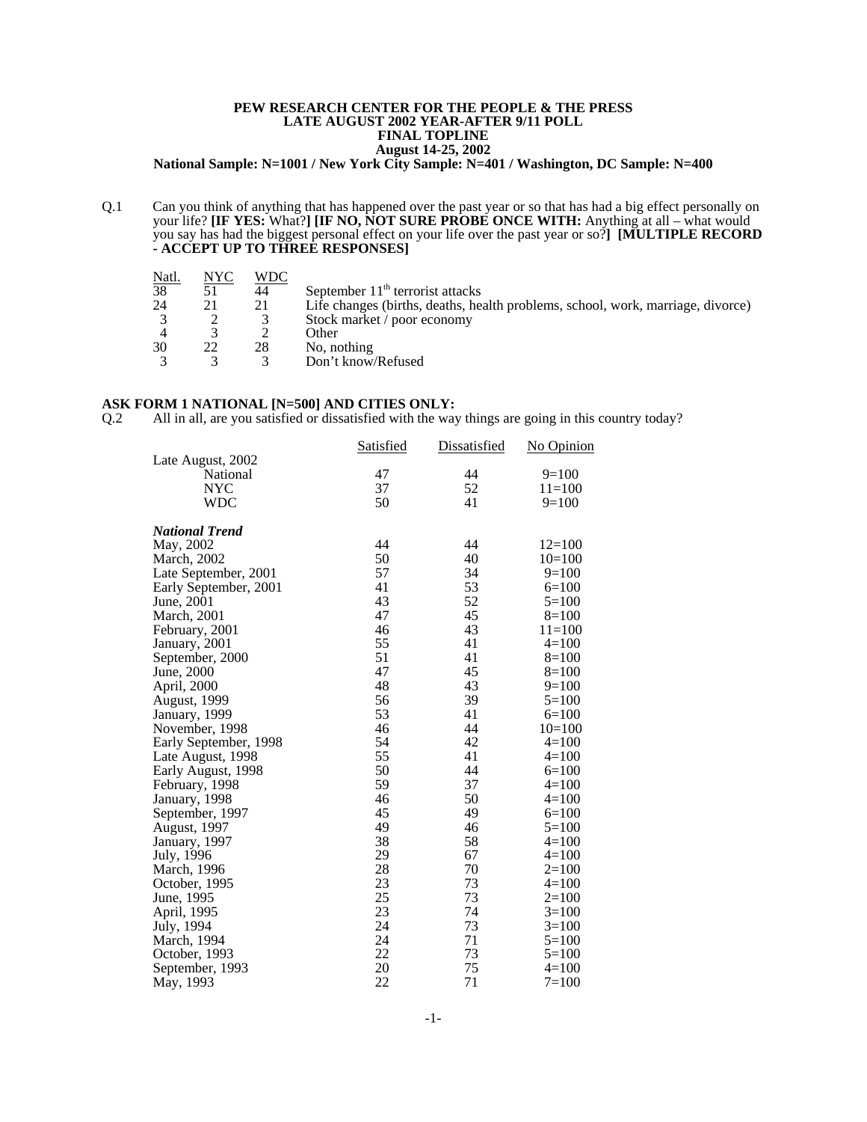### **PEW RESEARCH CENTER FOR THE PEOPLE & THE PRESS LATE AUGUST 2002 YEAR-AFTER 9/11 POLL FINAL TOPLINE August 14-25, 2002**

**National Sample: N=1001 / New York City Sample: N=401 / Washington, DC Sample: N=400**

Q.1 Can you think of anything that has happened over the past year or so that has had a big effect personally on your life? **[IF YES:** What?**] [IF NO, NOT SURE PROBE ONCE WITH:** Anything at all – what would you say has had the biggest personal effect on your life over the past year or so?**] [MULTIPLE RECORD - ACCEPT UP TO THREE RESPONSES]**

| NYC | WDC |                                                                                 |
|-----|-----|---------------------------------------------------------------------------------|
|     | 44  | September $11th$ terrorist attacks                                              |
|     | 21  | Life changes (births, deaths, health problems, school, work, marriage, divorce) |
|     |     | Stock market / poor economy                                                     |
|     |     | Other                                                                           |
|     | 28  | No, nothing                                                                     |
|     |     | Don't know/Refused                                                              |
|     |     |                                                                                 |

#### **ASK FORM 1 NATIONAL [N=500] AND CITIES ONLY:**

Q.2 All in all, are you satisfied or dissatisfied with the way things are going in this country today?

|                       | <b>Satisfied</b> | <b>Dissatisfied</b> | No Opinion |
|-----------------------|------------------|---------------------|------------|
| Late August, 2002     |                  |                     |            |
| National              | 47               | 44                  | $9=100$    |
| <b>NYC</b>            | 37               | 52                  | $11 = 100$ |
| <b>WDC</b>            | 50               | 41                  | $9=100$    |
| <b>National Trend</b> |                  |                     |            |
| May, 2002             | 44               | 44                  | $12 = 100$ |
| March, 2002           | 50               | 40                  | $10=100$   |
| Late September, 2001  | 57               | 34                  | $9=100$    |
| Early September, 2001 | 41               | 53                  | $6=100$    |
| June, 2001            | 43               | 52                  | $5=100$    |
| March, 2001           | 47               | 45                  | $8=100$    |
| February, 2001        | 46               | 43                  | $11 = 100$ |
| January, 2001         | 55               | 41                  | $4=100$    |
| September, 2000       | 51               | 41                  | $8=100$    |
| June, 2000            | 47               | 45                  | $8=100$    |
| April, 2000           | 48               | 43                  | $9=100$    |
| <b>August</b> , 1999  | 56               | 39                  | $5=100$    |
| January, 1999         | 53               | 41                  | $6=100$    |
| November, 1998        | 46               | 44                  | $10=100$   |
| Early September, 1998 | 54               | 42                  | $4=100$    |
| Late August, 1998     | 55               | 41                  | $4=100$    |
| Early August, 1998    | 50               | 44                  | $6=100$    |
| February, 1998        | 59               | 37                  | $4=100$    |
| January, 1998         | 46               | 50                  | $4=100$    |
| September, 1997       | 45               | 49                  | $6=100$    |
| August, 1997          | 49               | 46                  | $5=100$    |
| January, 1997         | 38               | 58                  | $4=100$    |
| July, 1996            | 29               | 67                  | $4=100$    |
| March, 1996           | 28               | 70                  | $2=100$    |
| October, 1995         | 23               | 73                  | $4=100$    |
| June, 1995            | 25               | 73                  | $2=100$    |
| April, 1995           | 23               | 74                  | $3=100$    |
| July, 1994            | 24               | 73                  | $3=100$    |
| March, 1994           | 24               | 71                  | $5=100$    |
| October, 1993         | 22               | 73                  | $5=100$    |
| September, 1993       | 20               | 75                  | $4=100$    |
| May, 1993             | 22               | 71                  | $7 = 100$  |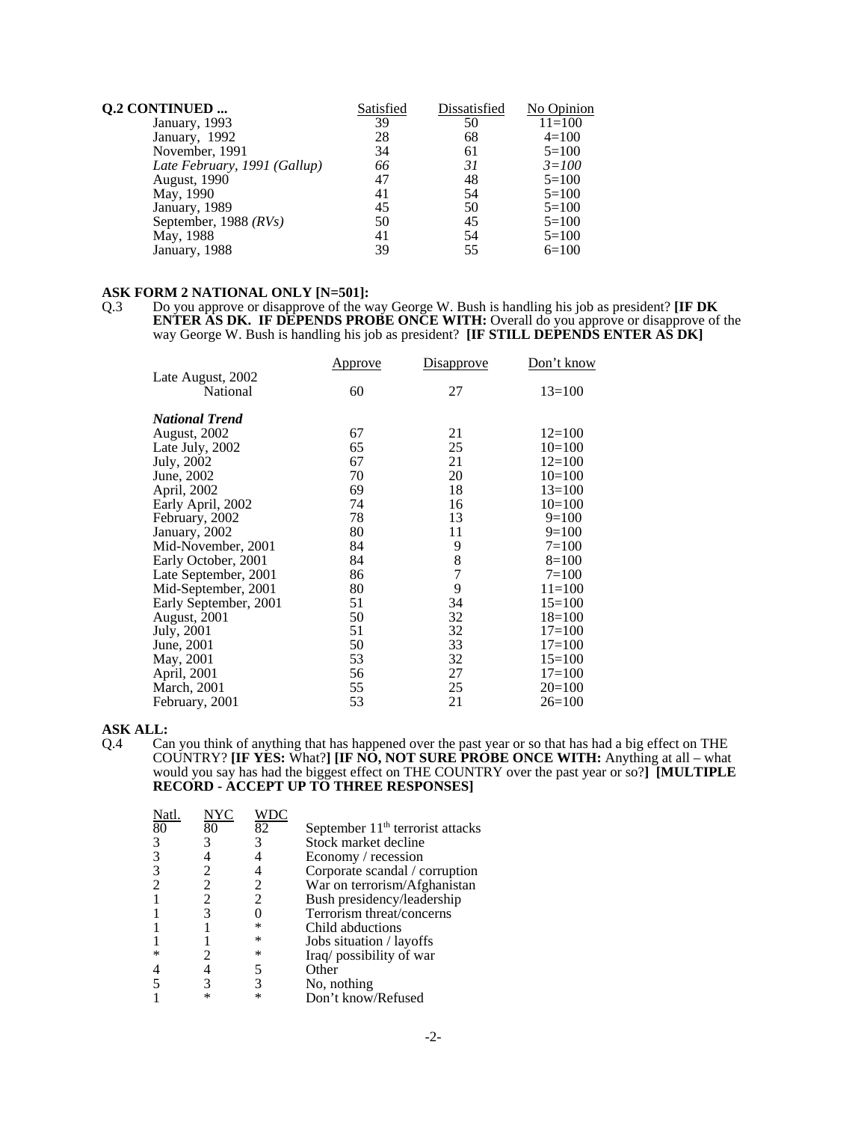| <b>Q.2 CONTINUED </b>        | Satisfied | Dissatisfied | No Opinion |
|------------------------------|-----------|--------------|------------|
| January, 1993                | 39        | 50           | $11=100$   |
| January, 1992                | 28        | 68           | $4=100$    |
| November, 1991               | 34        | 61           | $5=100$    |
| Late February, 1991 (Gallup) | 66        | 31           | $3 = 100$  |
| <b>August</b> , 1990         | 47        | 48           | $5=100$    |
| May, 1990                    | 41        | 54           | $5=100$    |
| January, 1989                | 45        | 50           | $5=100$    |
| September, 1988 $(RVs)$      | 50        | 45           | $5=100$    |
| May, 1988                    | 41        | 54           | $5=100$    |
| January, 1988                | 39        | 55           | $6=100$    |

# **ASK FORM 2 NATIONAL ONLY [N=501]:**<br>Q.3 Do you approve or disapprove of the w

Q.3 Do you approve or disapprove of the way George W. Bush is handling his job as president? **[IF DK ENTER AS DK. IF DEPENDS PROBE ONCE WITH:** Overall do you approve or disapprove of the way George W. Bush is handling his job as president? **[IF STILL DEPENDS ENTER AS DK]** 

|                       | Approve | Disapprove    | Don't know |
|-----------------------|---------|---------------|------------|
| Late August, 2002     |         |               |            |
| National              | 60      | 27            | $13=100$   |
| <b>National Trend</b> |         |               |            |
| <b>August, 2002</b>   | 67      | 21            | $12=100$   |
| Late July, 2002       | 65      | 25            | $10=100$   |
| July, 2002            | 67      | 21            | $12=100$   |
| June, 2002            | 70      | 20            | $10=100$   |
| April, 2002           | 69      | 18            | $13=100$   |
| Early April, 2002     | 74      | 16            | $10=100$   |
| February, 2002        | 78      | 13            | $9=100$    |
| January, 2002         | 80      | 11            | $9=100$    |
| Mid-November, 2001    | 84      | 9             | $7 = 100$  |
| Early October, 2001   | 84      | $\frac{8}{7}$ | $8=100$    |
| Late September, 2001  | 86      |               | $7 = 100$  |
| Mid-September, 2001   | 80      | 9             | $11 = 100$ |
| Early September, 2001 | 51      | 34            | $15=100$   |
| August, 2001          | 50      | 32            | $18=100$   |
| July, 2001            | 51      | 32            | $17 = 100$ |
| June, 2001            | 50      | 33            | $17 = 100$ |
| May, 2001             | 53      | 32            | $15=100$   |
| April, 2001           | 56      | 27            | $17 = 100$ |
| <b>March</b> , 2001   | 55      | 25            | $20=100$   |
| February, 2001        | 53      | 21            | $26=100$   |

# **ASK ALL:**

Q.4 Can you think of anything that has happened over the past year or so that has had a big effect on THE COUNTRY? **[IF YES:** What?**] [IF NO, NOT SURE PROBE ONCE WITH:** Anything at all – what would you say has had the biggest effect on THE COUNTRY over the past year or so?**] [MULTIPLE RECORD - ACCEPT UP TO THREE RESPONSES]**

| NYC |    |                                    |
|-----|----|------------------------------------|
| 80  | 82 | September $11th$ terrorist attacks |
|     |    | Stock market decline               |
|     |    | Economy / recession                |
|     |    | Corporate scandal / corruption     |
| 2   |    | War on terrorism/Afghanistan       |
|     | 2  | Bush presidency/leadership         |
|     |    | Terrorism threat/concerns          |
|     | ∗  | Child abductions                   |
|     | ∗  | Jobs situation / layoffs           |
|     | ∗  | Iraq/possibility of war            |
|     |    | Other                              |
|     |    | No, nothing                        |
|     |    | Don't know/Refused                 |
|     |    |                                    |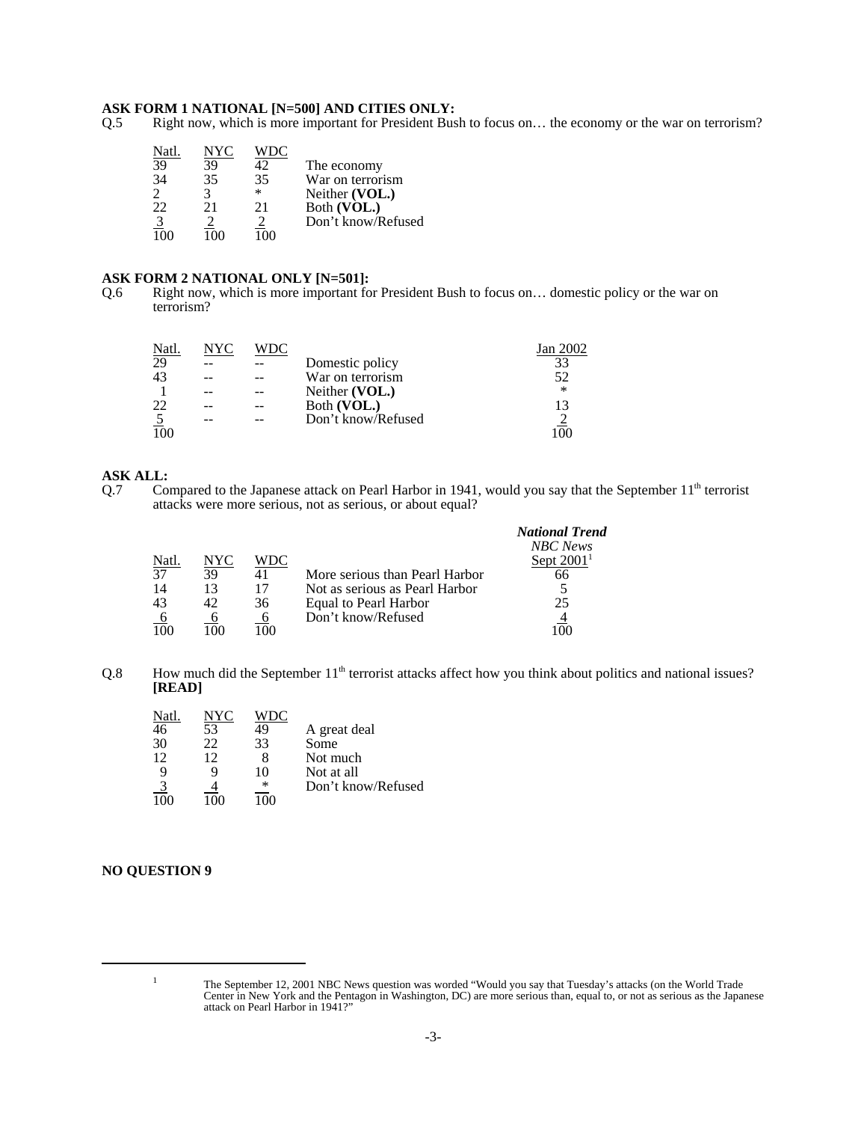# **ASK FORM 1 NATIONAL [N=500] AND CITIES ONLY:**<br>Q.5 Right now, which is more important for President Bus

Right now, which is more important for President Bush to focus on... the economy or the war on terrorism?

| Natl          |    |     |                    |
|---------------|----|-----|--------------------|
| 39            | 39 | 42. | The economy        |
| 34            | 35 | 35  | War on terrorism   |
|               |    | *   | Neither (VOL.)     |
| 22            | 21 | 21  | Both (VOL.)        |
| $\frac{3}{2}$ |    |     | Don't know/Refused |
|               |    |     |                    |

### **ASK FORM 2 NATIONAL ONLY [N=501]:**

Q.6 Right now, which is more important for President Bush to focus on… domestic policy or the war on terrorism?

| Natl.          | NYC | WDC. |                    | Jan 2002 |
|----------------|-----|------|--------------------|----------|
| 29             |     |      | Domestic policy    | 33       |
| 43             |     |      | War on terrorism   | 52       |
|                |     |      | Neither (VOL.)     | $\ast$   |
| 22             |     |      | Both (VOL.)        | 13       |
| $\overline{5}$ |     |      | Don't know/Refused |          |
|                |     |      |                    |          |

# **ASK ALL:**<br>Q.7 Co.

Compared to the Japanese attack on Pearl Harbor in 1941, would you say that the September 11<sup>th</sup> terrorist attacks were more serious, not as serious, or about equal?

|                 |           |     |                                | <b>National Trend</b> |
|-----------------|-----------|-----|--------------------------------|-----------------------|
|                 |           |     |                                | <b>NBC</b> News       |
| Natl.           | NYC       | WDC |                                | Sept $20011$          |
| $\overline{37}$ | 39        |     | More serious than Pearl Harbor |                       |
| 14              |           |     | Not as serious as Pearl Harbor |                       |
| 43              |           | 36  | Equal to Pearl Harbor          | 25                    |
|                 |           |     | Don't know/Refused             |                       |
| 100             | 1 ( ) ( ) |     |                                |                       |

Q.8 How much did the September 11<sup>th</sup> terrorist attacks affect how you think about politics and national issues? **[READ]**

| Natl.         | NYC | WDC         | A great deal       |
|---------------|-----|-------------|--------------------|
| 46            | 53  | 49          | Some               |
| 30            | 22  | 33          | Not much           |
| 12            | 12  | 10          | Not at all         |
| $\frac{3}{0}$ |     | ∗<br>17 N N | Don't know/Refused |

### **NO QUESTION 9**

<sup>&</sup>lt;sup>1</sup> The September 12, 2001 NBC News question was worded "Would you say that Tuesday's attacks (on the World Trade Center in New York and the Pentagon in Washington, DC) are more serious than, equal to, or not as serious as the Japanese attack on Pearl Harbor in 1941?"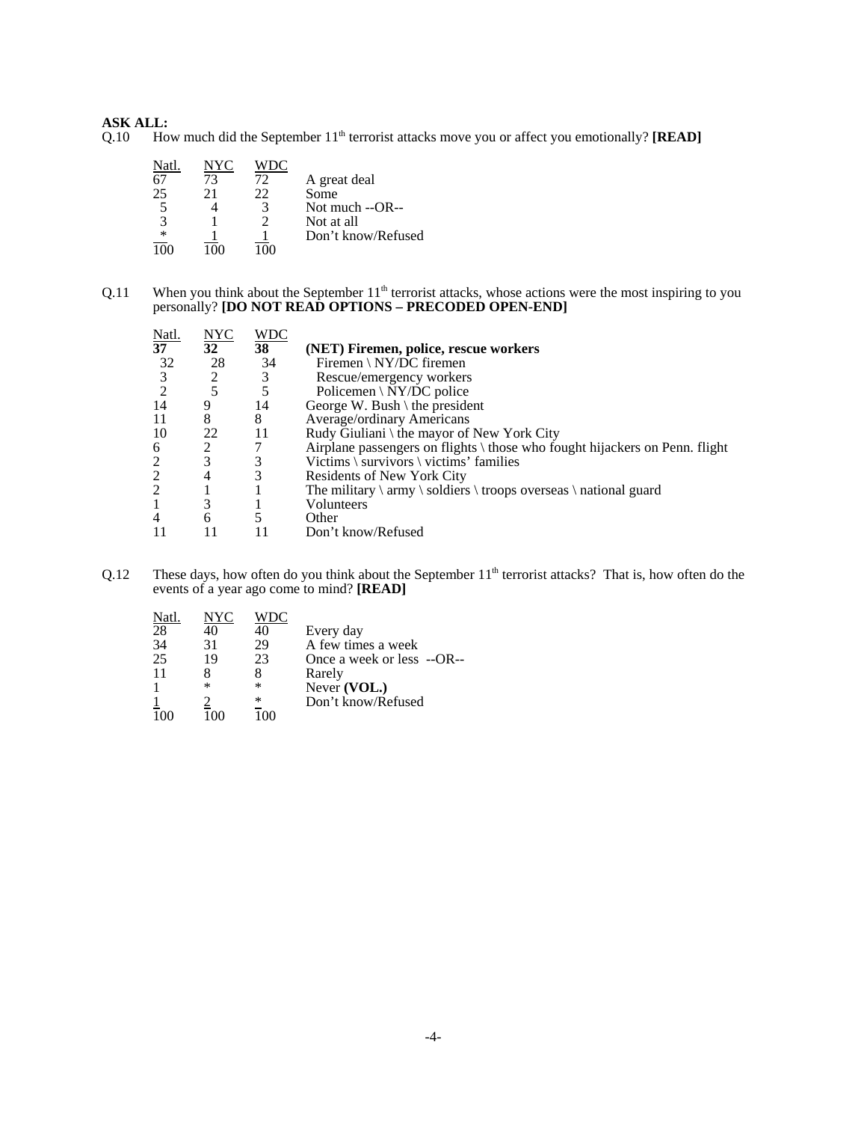## **ASK ALL:**

Q.10 How much did the September 11<sup>th</sup> terrorist attacks move you or affect you emotionally? **[READ]** 

| Natl   | NYC |    |                    |
|--------|-----|----|--------------------|
| 67     | 73  | 72 | A great deal       |
| 25     | 21  | 22 | Some               |
|        |     | 3  | Not much --OR--    |
| 3      |     |    | Not at all         |
| $\ast$ |     |    | Don't know/Refused |
|        |     |    |                    |

 $Q.11$  When you think about the September  $11<sup>th</sup>$  terrorist attacks, whose actions were the most inspiring to you personally? **[DO NOT READ OPTIONS – PRECODED OPEN-END]**

| Natl.          |                  | <b>WDC</b> |                                                                             |
|----------------|------------------|------------|-----------------------------------------------------------------------------|
| 37             | $\frac{NYC}{32}$ | 38         | (NET) Firemen, police, rescue workers                                       |
| 32             | 28               | 34         | Firemen \ NY/DC firemen                                                     |
|                | 2                | 3          | Rescue/emergency workers                                                    |
|                | 5                | 5          | Policemen \ $\overline{NY/DC}$ police                                       |
| 14             |                  | 14         | George W. Bush $\theta$ the president                                       |
| -11            | 8                | 8          | Average/ordinary Americans                                                  |
| -10            | 22               | 11         | Rudy Giuliani \ the mayor of New York City                                  |
| 6              |                  |            | Airplane passengers on flights \ those who fought hijackers on Penn. flight |
| 2              | 3                | 3          | Victims \ survivors \ victims' families                                     |
| 2              |                  | 3          | Residents of New York City                                                  |
| 2              |                  |            | The military $\rm\$ soldiers $\rm\$ troops overseas $\rm\$ national guard   |
| -1             |                  |            | Volunteers                                                                  |
| $\overline{4}$ | 6                |            | Other                                                                       |
|                |                  |            | Don't know/Refused                                                          |

Q.12 These days, how often do you think about the September 11<sup>th</sup> terrorist attacks? That is, how often do the events of a year ago come to mind? **[READ]**

| Natl. | NYC |    |                              |
|-------|-----|----|------------------------------|
| 28    | 40  | 40 | Every day                    |
| 34    | 31  | 29 | A few times a week           |
| 25    | 19  | 23 | Once a week or less $-OR$ -- |
| 11    |     |    | Rarely                       |
|       | ∗   | ∗  | Never (VOL.)                 |
|       |     | ∗  | Don't know/Refused           |
|       |     |    |                              |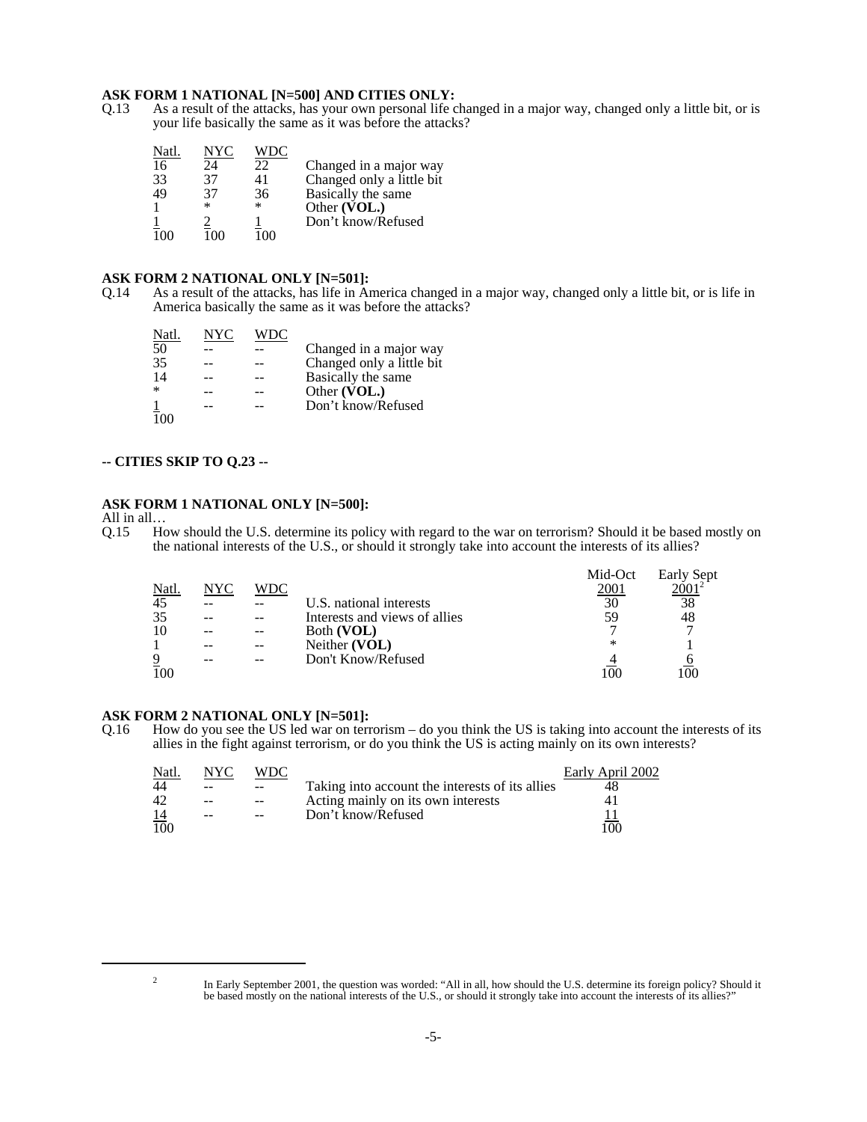# **ASK FORM 1 NATIONAL [N=500] AND CITIES ONLY:**<br>Q.13 As a result of the attacks, has your own personal life c

As a result of the attacks, has your own personal life changed in a major way, changed only a little bit, or is your life basically the same as it was before the attacks?

| Natl. | NYC    | WDC   |                           |
|-------|--------|-------|---------------------------|
| 16    | 24     | 22    | Changed in a major way    |
| 33    | 37     | 41    | Changed only a little bit |
| 49    | 37     | 36    | Basically the same        |
|       | $\ast$ | *     | Other (VOL.)              |
|       |        |       | Don't know/Refused        |
|       |        | ۱۱۱۰، |                           |

#### **ASK FORM 2 NATIONAL ONLY [N=501]:**

Q.14 As a result of the attacks, has life in America changed in a major way, changed only a little bit, or is life in America basically the same as it was before the attacks?

| Natl.           | NYC | WDC |                           |
|-----------------|-----|-----|---------------------------|
| 50              |     |     | Changed in a major way    |
| 35              |     |     | Changed only a little bit |
| 14              |     |     | Basically the same        |
| $\ast$          |     |     | Other (VOL.)              |
| $\frac{1}{100}$ |     |     | Don't know/Refused        |
|                 |     |     |                           |

## **-- CITIES SKIP TO Q.23 --**

#### **ASK FORM 1 NATIONAL ONLY [N=500]:**

All in all...<br>O.15 Ho How should the U.S. determine its policy with regard to the war on terrorism? Should it be based mostly on the national interests of the U.S., or should it strongly take into account the interests of its allies?

|       |     |            |                               | Mid-Oct | Early Sept |
|-------|-----|------------|-------------------------------|---------|------------|
| Natl. | NYC | <b>WDC</b> |                               | 2001    |            |
| 45    |     |            | U.S. national interests       | 30      | 38         |
| 35    |     |            | Interests and views of allies | 59      | 48         |
| 10    |     |            | Both (VOL)                    |         |            |
|       |     |            | Neither (VOL)                 | ∗       |            |
| 9     |     |            | Don't Know/Refused            |         |            |
| 100   |     |            |                               |         |            |

# **ASK FORM 2 NATIONAL ONLY [N=501]:** Q.16 How do you see the US led war on term

How do you see the US led war on terrorism – do you think the US is taking into account the interests of its allies in the fight against terrorism, or do you think the US is acting mainly on its own interests?

| Natl.     | NYC. | WDC               |                                                 | Early April 2002 |
|-----------|------|-------------------|-------------------------------------------------|------------------|
| 44        | --   | $\qquad \qquad -$ | Taking into account the interests of its allies |                  |
| 42        | $-$  | $\qquad \qquad -$ | Acting mainly on its own interests              |                  |
| <u>14</u> | --   | $- -$             | Don't know/Refused                              |                  |
| 100       |      |                   |                                                 | 100              |

<sup>&</sup>lt;sup>2</sup> In Early September 2001, the question was worded: "All in all, how should the U.S. determine its foreign policy? Should it be based mostly on the national interests of the U.S., or should it strongly take into account the interests of its allies?"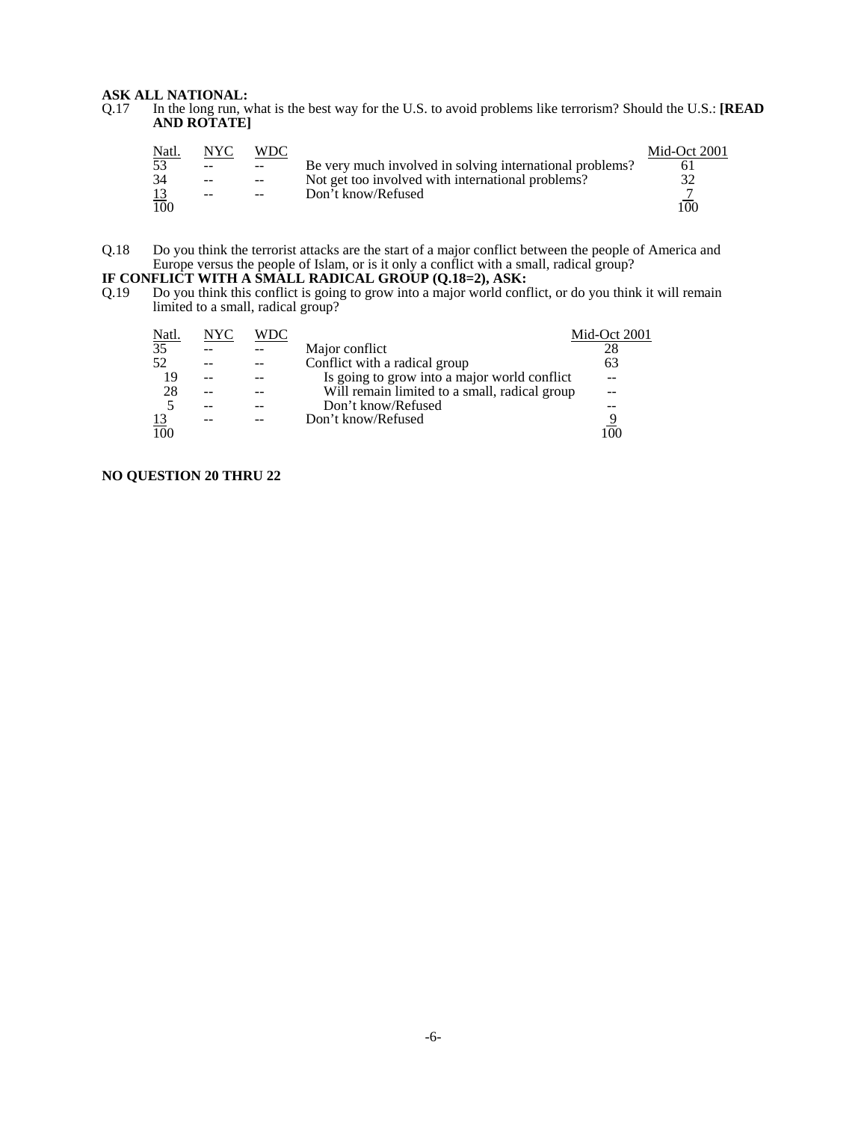### **ASK ALL NATIONAL:**

Q.17 In the long run, what is the best way for the U.S. to avoid problems like terrorism? Should the U.S.: **[READ AND ROTATE]**

| <u>Natl.</u> | NYC   | WDC           |                                                          | Mid-Oct 2001 |
|--------------|-------|---------------|----------------------------------------------------------|--------------|
| 53           | $- -$ | $--$          | Be very much involved in solving international problems? |              |
| 34           | $-$   | $ -$          | Not get too involved with international problems?        |              |
|              | $-$   | $\sim$ $\sim$ | Don't know/Refused                                       |              |
| 100          |       |               |                                                          | 00           |

Q.18 Do you think the terrorist attacks are the start of a major conflict between the people of America and Europe versus the people of Islam, or is it only a conflict with a small, radical group?

#### **IF CONFLICT WITH A SMALL RADICAL GROUP (Q.18=2), ASK:**

Q.19 Do you think this conflict is going to grow into a major world conflict, or do you think it will remain limited to a small, radical group?

| <u>Natl.</u>    | NYC | WDC |                                               | Mid-Oct 2001 |
|-----------------|-----|-----|-----------------------------------------------|--------------|
| $\overline{35}$ |     |     | Major conflict                                | 28           |
| 52              |     |     | Conflict with a radical group                 | 63           |
| 19              |     |     | Is going to grow into a major world conflict  |              |
| 28              |     |     | Will remain limited to a small, radical group |              |
|                 |     |     | Don't know/Refused                            |              |
| <u>13</u>       |     |     | Don't know/Refused                            |              |
| 100             |     |     |                                               |              |

### **NO QUESTION 20 THRU 22**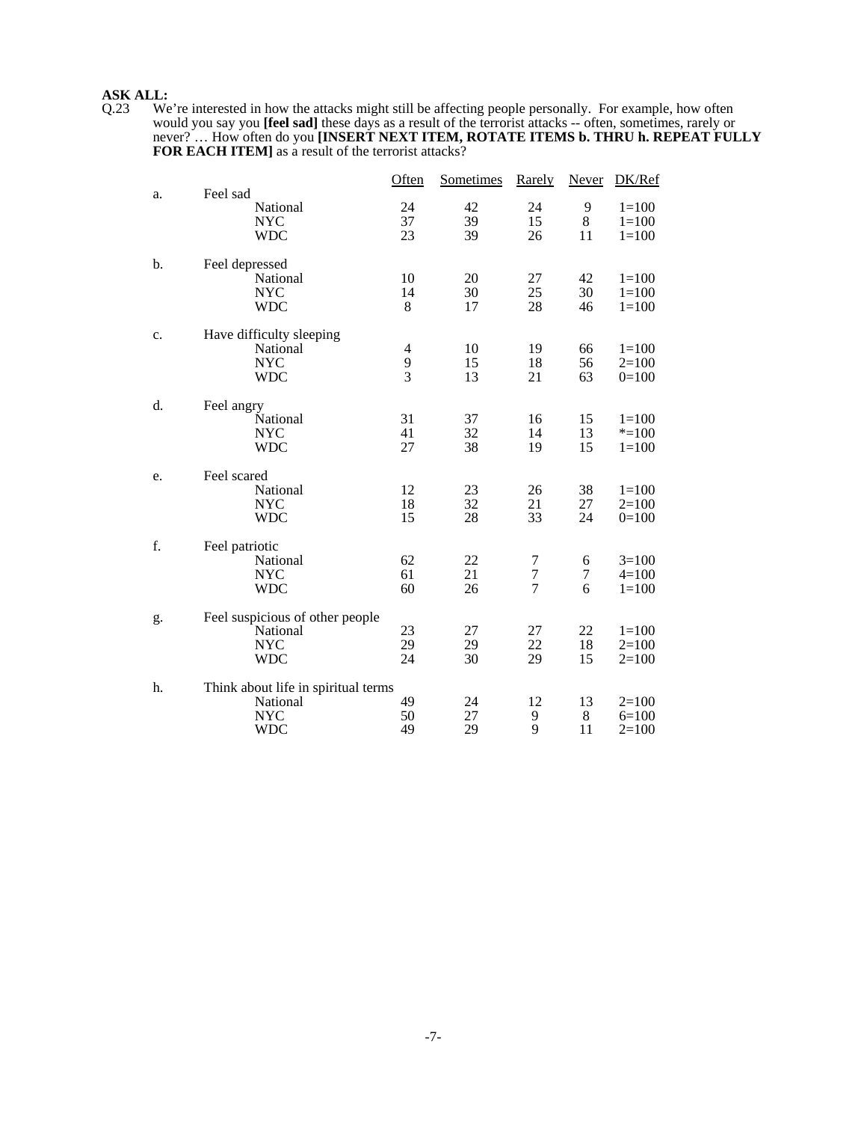**ASK ALL:**<br>Q.23 We Q.23 We're interested in how the attacks might still be affecting people personally. For example, how often would you say you **[feel sad]** these days as a result of the terrorist attacks -- often, sometimes, rarely or never? … How often do you **[INSERT NEXT ITEM, ROTATE ITEMS b. THRU h. REPEAT FULLY FOR EACH ITEM]** as a result of the terrorist attacks?

|    |                                                                             | Often                                        | Sometimes      | Rarely                   | Never          | DK/Ref                            |
|----|-----------------------------------------------------------------------------|----------------------------------------------|----------------|--------------------------|----------------|-----------------------------------|
| a. | Feel sad<br>National<br><b>NYC</b><br><b>WDC</b>                            | 24<br>37<br>23                               | 42<br>39<br>39 | 24<br>15<br>26           | 9<br>8<br>11   | $1 = 100$<br>$1=100$<br>$1 = 100$ |
| b. | Feel depressed<br>National<br><b>NYC</b><br><b>WDC</b>                      | 10<br>14<br>8                                | 20<br>30<br>17 | 27<br>25<br>28           | 42<br>30<br>46 | $1=100$<br>$1=100$<br>$1=100$     |
| c. | Have difficulty sleeping<br>National<br><b>NYC</b><br><b>WDC</b>            | $\overline{\mathcal{A}}$<br>9<br>$\tilde{3}$ | 10<br>15<br>13 | 19<br>18<br>21           | 66<br>56<br>63 | $1=100$<br>$2=100$<br>$0=100$     |
| d. | Feel angry<br>National<br><b>NYC</b><br><b>WDC</b>                          | 31<br>41<br>27                               | 37<br>32<br>38 | 16<br>14<br>19           | 15<br>13<br>15 | $1=100$<br>$* = 100$<br>$1 = 100$ |
| e. | Feel scared<br>National<br><b>NYC</b><br><b>WDC</b>                         | 12<br>18<br>15                               | 23<br>32<br>28 | 26<br>21<br>33           | 38<br>27<br>24 | $1=100$<br>$2=100$<br>$0=100$     |
| f. | Feel patriotic<br>National<br><b>NYC</b><br><b>WDC</b>                      | 62<br>61<br>60                               | 22<br>21<br>26 | 7<br>$\overline{7}$<br>7 | 6<br>7<br>6    | $3=100$<br>$4=100$<br>$1 = 100$   |
| g. | Feel suspicious of other people<br>National<br><b>NYC</b><br><b>WDC</b>     | 23<br>29<br>24                               | 27<br>29<br>30 | 27<br>22<br>29           | 22<br>18<br>15 | $1=100$<br>$2=100$<br>$2=100$     |
| h. | Think about life in spiritual terms<br>National<br><b>NYC</b><br><b>WDC</b> | 49<br>50<br>49                               | 24<br>27<br>29 | 12<br>9<br>9             | 13<br>8<br>11  | $2=100$<br>$6=100$<br>$2=100$     |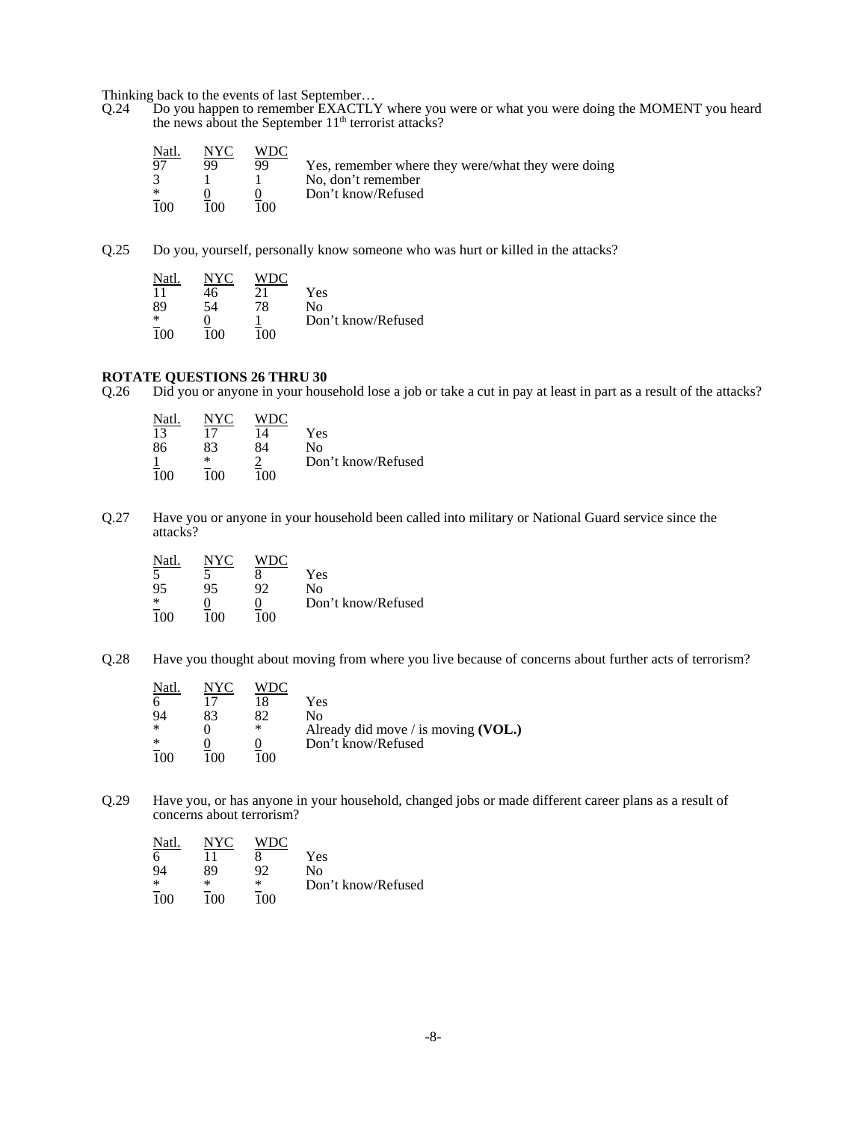Thinking back to the events of last September…

Q.24 Do you happen to remember EXACTLY where you were or what you were doing the MOMENT you heard the news about the September  $11<sup>th</sup>$  terrorist attacks?

| Natl.  | NYC | WDC |                                                    |
|--------|-----|-----|----------------------------------------------------|
| 97     | QQ  | QQ  | Yes, remember where they were/what they were doing |
|        |     |     | No, don't remember                                 |
| $\ast$ |     |     | Don't know/Refused                                 |
| 100    | 100 | ഥറ  |                                                    |

Q.25 Do you, yourself, personally know someone who was hurt or killed in the attacks?

| Natl. |     | WDC. |                    |
|-------|-----|------|--------------------|
| 11    | 46  | 21   | Yes                |
| 89    | 54  | 78   | No                 |
| ∗     |     |      | Don't know/Refused |
| 100   | 100 | 100  |                    |

### **ROTATE QUESTIONS 26 THRU 30**

Q.26 Did you or anyone in your household lose a job or take a cut in pay at least in part as a result of the attacks?

| Natl. | NYC | WDC |                    |
|-------|-----|-----|--------------------|
| 13    | 17  | 14  | Yes                |
| 86    | 83  | 84  | Nο                 |
|       | ∗   |     | Don't know/Refused |
| 100   | 100 | 100 |                    |

Q.27 Have you or anyone in your household been called into military or National Guard service since the attacks?

| Natl. | NYC | WDC |                    |
|-------|-----|-----|--------------------|
|       |     |     | Yes                |
| 95    | 95  | 92  | No                 |
| ∗     |     |     | Don't know/Refused |
| 1 በበ  | 1ሰበ | 100 |                    |

Q.28 Have you thought about moving from where you live because of concerns about further acts of terrorism?

| Natl.<br>6<br>$\ast$<br>∗ | NYC<br>83 | VDC.<br>82<br>$\ast$ | Yes<br>Nο<br>Already did move / is moving $(VOL.)$<br>Don't know/Refused |
|---------------------------|-----------|----------------------|--------------------------------------------------------------------------|
|                           | 100       | 10O                  |                                                                          |

Q.29 Have you, or has anyone in your household, changed jobs or made different career plans as a result of concerns about terrorism?

| Natl.  | NYC | WDC |                    |
|--------|-----|-----|--------------------|
| 6      |     |     | Yes                |
| 94     | 89  | 92  | Nο                 |
| $\ast$ | ∗   | ∗   | Don't know/Refused |
| 100    | 100 | 100 |                    |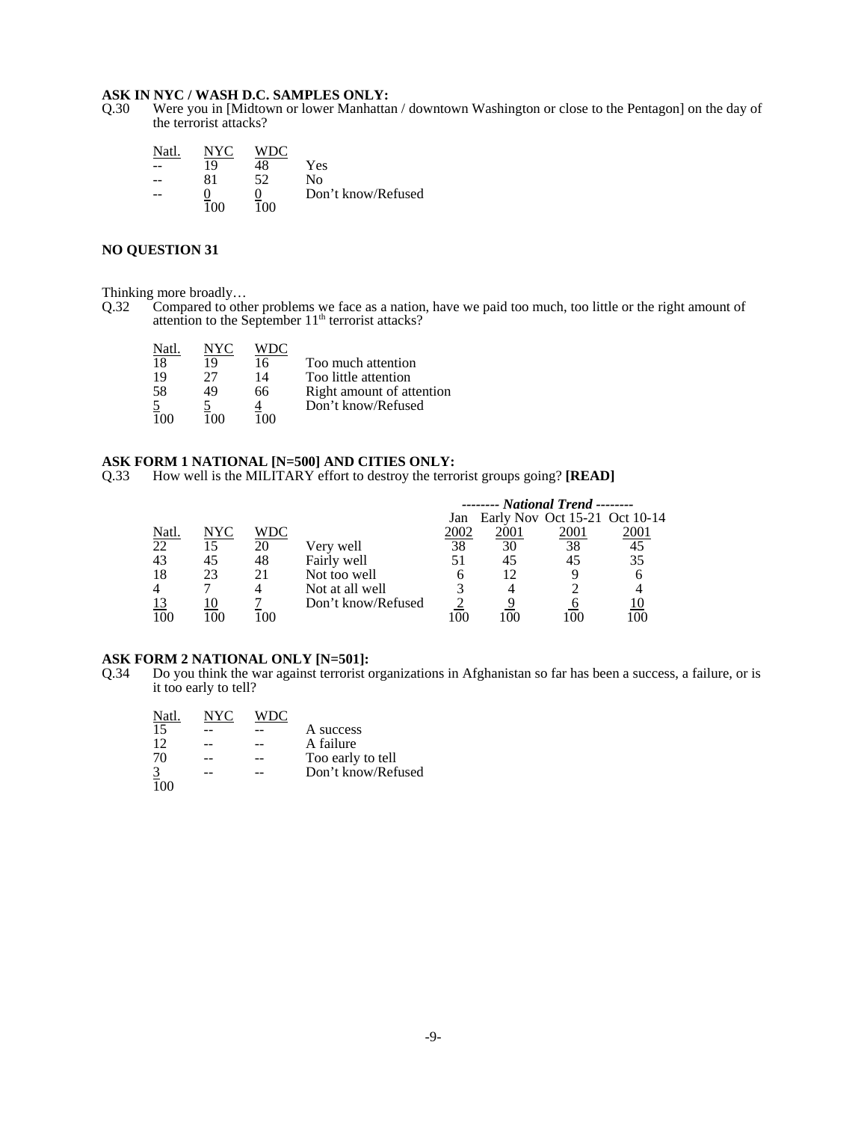**ASK IN NYC / WASH D.C. SAMPLES ONLY:**<br>Q.30 Were you in [Midtown or lower Manhatta Were you in [Midtown or lower Manhattan / downtown Washington or close to the Pentagon] on the day of the terrorist attacks?

| Natl |      |    |                    |
|------|------|----|--------------------|
|      | 19   | 48 | Yes.               |
|      | 81   | 52 | Nο                 |
| --   |      |    | Don't know/Refused |
|      | 1 በበ | ഥറ |                    |

### **NO QUESTION 31**

Thinking more broadly...<br>Q.32 Compared to other

Q.32 Compared to other problems we face as a nation, have we paid too much, too little or the right amount of attention to the September 11<sup>th</sup> terrorist attacks?

| Natl |    |    |                           |
|------|----|----|---------------------------|
| 18   | 19 | 16 | Too much attention        |
| 19   | 77 | 14 | Too little attention      |
| 58   | 49 | 66 | Right amount of attention |
|      |    |    | Don't know/Refused        |
|      |    |    |                           |

## **ASK FORM 1 NATIONAL [N=500] AND CITIES ONLY:**

Q.33 How well is the MILITARY effort to destroy the terrorist groups going? **[READ]**

|       |     |     |                    |      | -------- National Trend --------  |      |      |
|-------|-----|-----|--------------------|------|-----------------------------------|------|------|
|       |     |     |                    |      | Jan Early Nov Oct 15-21 Oct 10-14 |      |      |
| Natl. | NYC | WDC |                    | 2002 | 2001                              | 2001 | 2001 |
| 22    | 15  | 20  | Very well          | 38   | 30                                | 38   | 45   |
| 43    | 45  | 48  | Fairly well        |      | 45                                |      | 35   |
| 18    | 23  | 21  | Not too well       | h    | 12                                |      |      |
|       |     |     | Not at all well    |      |                                   |      |      |
|       |     |     | Don't know/Refused |      |                                   |      |      |
| 100   |     | -00 |                    | 00   | $\alpha$                          |      |      |

# **ASK FORM 2 NATIONAL ONLY [N=501]:**<br>Q.34 Do you think the war against terrorist of

Do you think the war against terrorist organizations in Afghanistan so far has been a success, a failure, or is it too early to tell?

| Natl           | NYC | WDC |                    |
|----------------|-----|-----|--------------------|
| 15             |     |     | A success          |
| 12             |     |     | A failure          |
| 70             |     |     | Too early to tell  |
| $\overline{3}$ |     |     | Don't know/Refused |
|                |     |     |                    |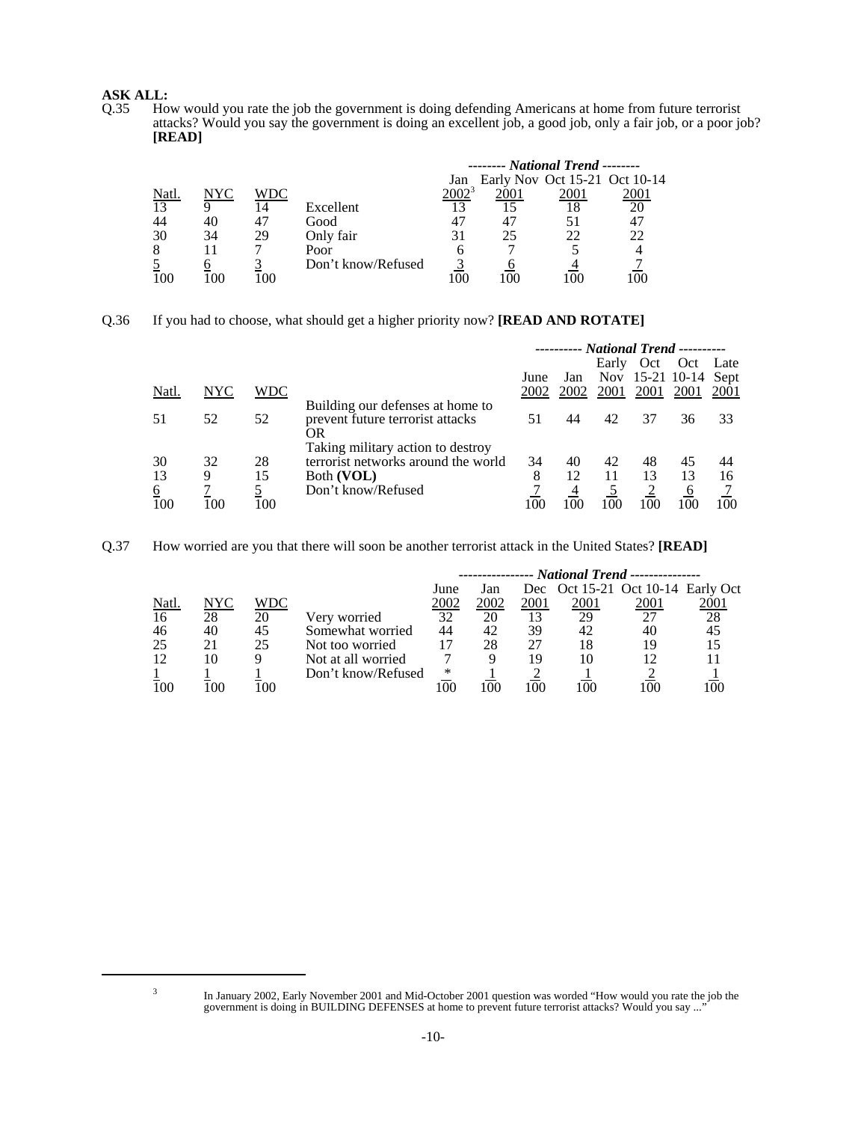# **ASK ALL:**<br>Q.35 Ho

How would you rate the job the government is doing defending Americans at home from future terrorist attacks? Would you say the government is doing an excellent job, a good job, only a fair job, or a poor job? **[READ]**

|       |     |     |                    |     | ------- National Trend -------- |      |                               |
|-------|-----|-----|--------------------|-----|---------------------------------|------|-------------------------------|
|       |     |     |                    | Jan |                                 |      | Early Nov Oct 15-21 Oct 10-14 |
| Natl. | NYC | WDC |                    |     |                                 | 2001 | 2001                          |
| 13    |     | 14  | Excellent          |     |                                 |      | 20                            |
|       | 40  |     | Good               | 47  |                                 |      | 47                            |
| 30    | 34  | 29  | Only fair          | 31  | 25                              | フフ   | 22                            |
|       |     |     | Poor               |     |                                 |      |                               |
|       |     |     | Don't know/Refused |     |                                 |      |                               |
|       |     | 00  |                    |     |                                 |      |                               |

Q.36 If you had to choose, what should get a higher priority now? **[READ AND ROTATE]**

|          |            |          |                                     |      |      |       |      | ---------- National Trend ---------- |      |
|----------|------------|----------|-------------------------------------|------|------|-------|------|--------------------------------------|------|
|          |            |          |                                     |      |      | Early | Oct  | Oct Late                             |      |
|          |            |          |                                     | June | Jan  |       |      | Nov 15-21 10-14 Sept                 |      |
| Natl.    | <b>NYC</b> | WDC      |                                     | 2002 | 2002 | 2001  | 2001 | 2001                                 | 2001 |
|          |            |          | Building our defenses at home to    |      |      |       |      |                                      |      |
| 51       | 52         | 52       | prevent future terrorist attacks    | 51   | 44   | 42    | 37   | 36                                   | 33   |
|          |            |          | OR                                  |      |      |       |      |                                      |      |
|          |            |          | Taking military action to destroy   |      |      |       |      |                                      |      |
| 30       | 32         | 28       | terrorist networks around the world | 34   | 40   | 42    | 48   | 45                                   | 44   |
| 13       | 9          | 15       | Both (VOL)                          | 8    | 12   | 11    | 13   | 13                                   | 16   |
| <u>6</u> |            | <u>5</u> | Don't know/Refused                  |      |      |       |      | 6                                    |      |
| 100      | 100        | 100      |                                     | 100  | 100  |       |      | 100                                  | 100  |

Q.37 How worried are you that there will soon be another terrorist attack in the United States? **[READ]**

|       |     |     |                    |      |      |        | --------------- National Trend --------------- |      |          |
|-------|-----|-----|--------------------|------|------|--------|------------------------------------------------|------|----------|
|       |     |     |                    | June | Jan  |        | Dec Oct 15-21 Oct 10-14 Early Oct              |      |          |
| Natl. | NYC | WDC |                    | 2002 | 2002 | 2001   | 2001                                           | 2001 | 2001     |
| 16    | 28  | 20  | Very worried       | 32   | 20   |        | 29                                             |      | 28       |
| 46    | 40  | 45  | Somewhat worried   | 44   | 42   | 39     | 42                                             | 40   | 45       |
| 25    | 21  | 25  | Not too worried    |      | 28   |        |                                                | 19   |          |
| 12    | 10  |     | Not at all worried |      |      | 19     | 10                                             |      |          |
|       |     |     | Don't know/Refused | ∗    |      |        |                                                |      |          |
| 100   | 100 | .00 |                    |      |      | I ()() |                                                |      | $^{(0)}$ |

In January 2002, Early November 2001 and Mid-October 2001 question was worded "How would you rate the job the government is doing in BUILDING DEFENSES at home to prevent future terrorist attacks? Would you say ..."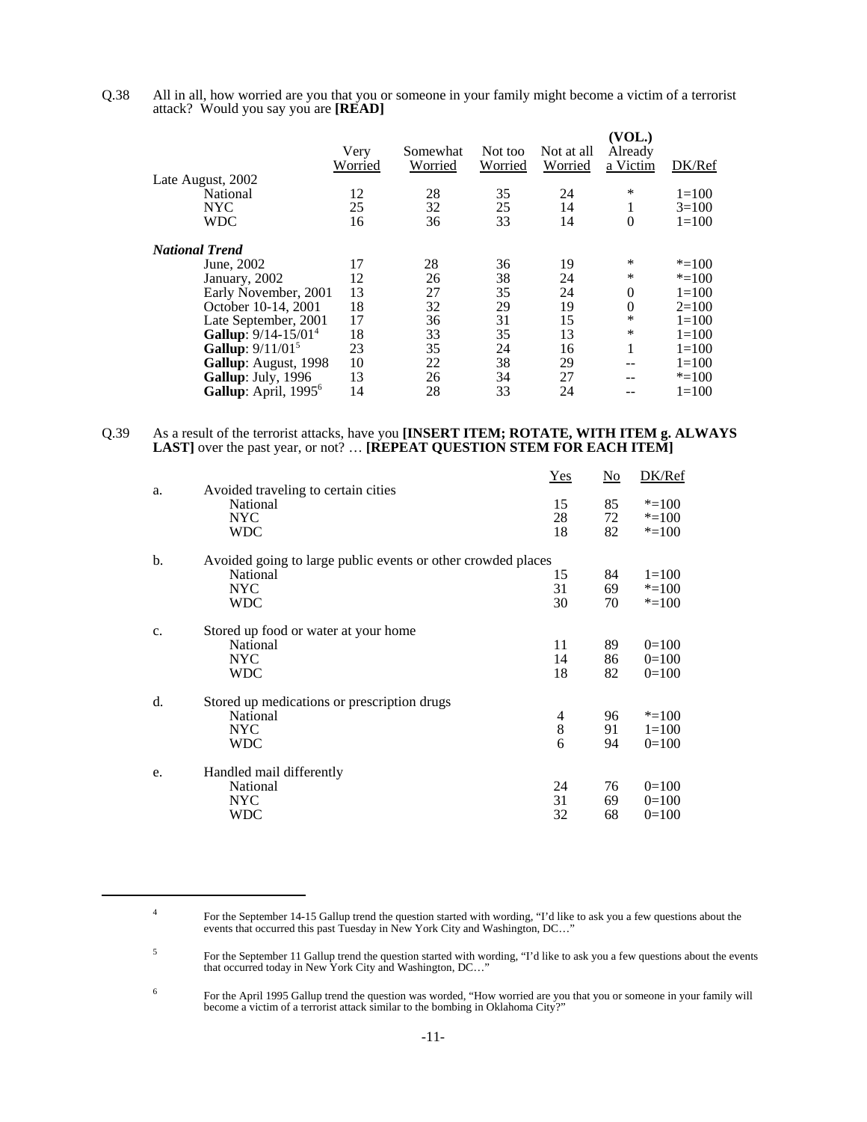Q.38 All in all, how worried are you that you or someone in your family might become a victim of a terrorist attack? Would you say you are **[READ]**

|                                  | Very<br>Worried | Somewhat<br>Worried | Not too<br>Worried | Not at all<br>Worried | (VOL.)<br>Already<br>a Victim | DK/Ref    |
|----------------------------------|-----------------|---------------------|--------------------|-----------------------|-------------------------------|-----------|
| Late August, 2002                |                 |                     |                    |                       |                               |           |
| National                         | 12              | 28                  | 35                 | 24                    | ∗                             | $1=100$   |
| <b>NYC</b>                       | 25              | 32                  | 25                 | 14                    | 1                             | $3=100$   |
| <b>WDC</b>                       | 16              | 36                  | 33                 | 14                    | $\theta$                      | $1 = 100$ |
| <b>National Trend</b>            |                 |                     |                    |                       |                               |           |
| June, 2002                       | 17              | 28                  | 36                 | 19                    | ∗                             | $* = 100$ |
| January, 2002                    | 12              | 26                  | 38                 | 24                    | *                             | $* = 100$ |
| Early November, 2001             | 13              | 27                  | 35                 | 24                    | $\theta$                      | $1 = 100$ |
| October 10-14, 2001              | 18              | 32                  | 29                 | 19                    | $\mathbf{0}$                  | $2=100$   |
| Late September, 2001             | 17              | 36                  | 31                 | 15                    | *                             | $1 = 100$ |
| Gallup: 9/14-15/01 <sup>4</sup>  | 18              | 33                  | 35                 | 13                    | *                             | $1 = 100$ |
| Gallup: 9/11/01 <sup>5</sup>     | 23              | 35                  | 24                 | 16                    | 1                             | $1 = 100$ |
| <b>Gallup:</b> August, 1998      | 10              | 22                  | 38                 | 29                    | --                            | $1 = 100$ |
| Gallup: July, 1996               | 13              | 26                  | 34                 | 27                    | --                            | $* = 100$ |
| Gallup: April, 1995 <sup>6</sup> | 14              | 28                  | 33                 | 24                    |                               | $1=100$   |
|                                  |                 |                     |                    |                       |                               |           |

### Q.39 As a result of the terrorist attacks, have you **[INSERT ITEM; ROTATE, WITH ITEM g. ALWAYS** LAST] over the past year, or not? ... **[REPEAT QUESTION STEM FOR EACH ITEM**]

|    |                                                              | Yes | $\underline{\mathrm{No}}$ | DK/Ref    |
|----|--------------------------------------------------------------|-----|---------------------------|-----------|
| a. | Avoided traveling to certain cities                          |     |                           |           |
|    | National                                                     | 15  | 85                        | $* = 100$ |
|    | <b>NYC</b>                                                   | 28  | 72                        | $* = 100$ |
|    | <b>WDC</b>                                                   | 18  | 82                        | $* = 100$ |
| b. | Avoided going to large public events or other crowded places |     |                           |           |
|    | National                                                     | 15  | 84                        | $1 = 100$ |
|    | <b>NYC</b>                                                   | 31  | 69                        | $* = 100$ |
|    | WDC                                                          | 30  | 70                        | $* = 100$ |
| c. | Stored up food or water at your home                         |     |                           |           |
|    | National                                                     | 11  | 89                        | $0=100$   |
|    | <b>NYC</b>                                                   | 14  | 86                        | $0=100$   |
|    | WDC                                                          | 18  | 82                        | $0=100$   |
| d. | Stored up medications or prescription drugs                  |     |                           |           |
|    | National                                                     | 4   | 96                        | $* = 100$ |
|    | <b>NYC</b>                                                   | 8   | 91                        | $1 = 100$ |
|    | <b>WDC</b>                                                   | 6   | 94                        | $0=100$   |
| e. | Handled mail differently                                     |     |                           |           |
|    | National                                                     | 24  | 76                        | $0=100$   |
|    | <b>NYC</b>                                                   | 31  | 69                        | $0=100$   |
|    | WDC                                                          | 32  | 68                        | $0=100$   |
|    |                                                              |     |                           |           |

<sup>&</sup>lt;sup>4</sup> For the September 14-15 Gallup trend the question started with wording, "I'd like to ask you a few questions about the events that occurred this past Tuesday in New York City and Washington, DC…"

<sup>&</sup>lt;sup>5</sup><br>For the September 11 Gallup trend the question started with wording, "I'd like to ask you a few questions about the events<br>that occurred today in New York City and Washington, DC..."

<sup>&</sup>lt;sup>6</sup> For the April 1995 Gallup trend the question was worded, "How worried are you that you or someone in your family will become a victim of a terrorist attack similar to the bombing in Oklahoma City?"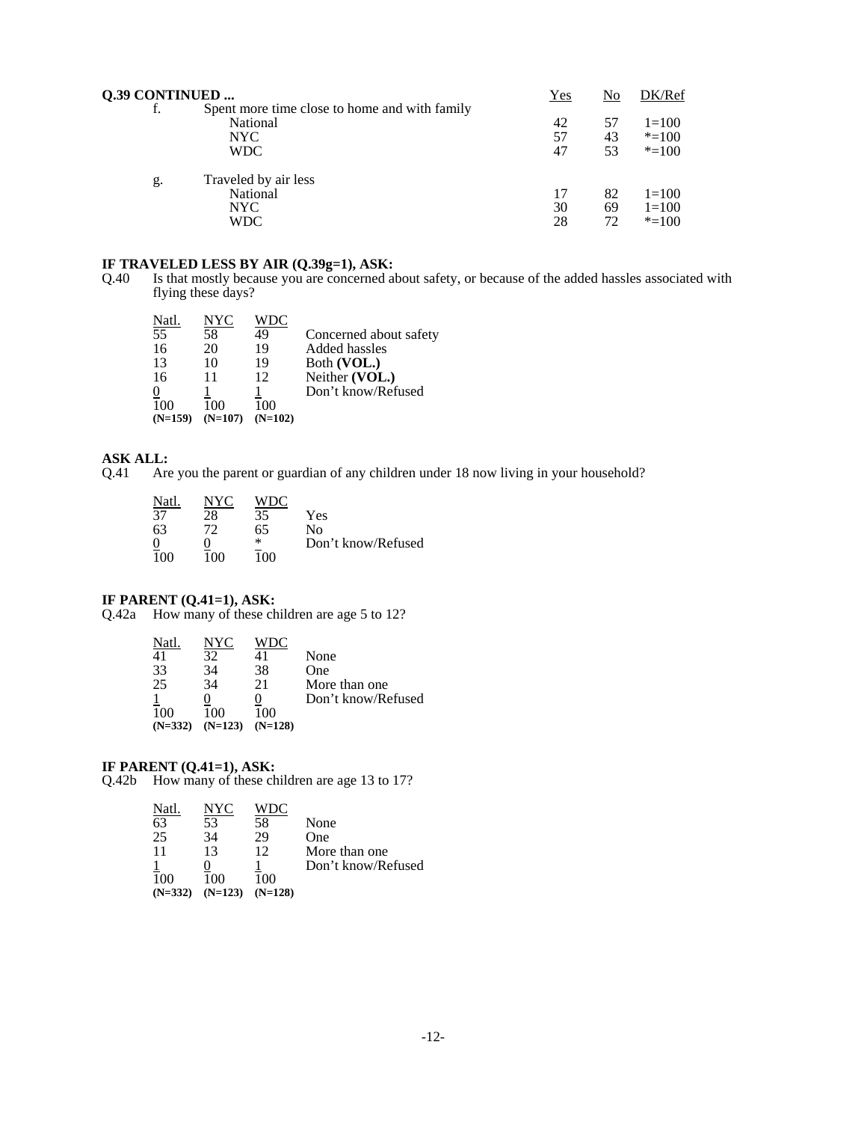| Q.39 CONTINUED |                                                                                 | Yes            | No             | DK/Ref                            |
|----------------|---------------------------------------------------------------------------------|----------------|----------------|-----------------------------------|
| f.             | Spent more time close to home and with family<br>National<br>NYC.<br><b>WDC</b> | 42<br>57<br>47 | 57<br>43<br>53 | $1=100$<br>$* = 100$<br>$* = 100$ |
| g.             | Traveled by air less<br>National<br>NYC.<br>WDC                                 | 17<br>30<br>28 | 82<br>69<br>72 | $1=100$<br>$1=100$<br>$* = 100$   |

**IF TRAVELED LESS BY AIR (Q.39g=1), ASK:** Q.40 Is that mostly because you are concerned all Is that mostly because you are concerned about safety, or because of the added hassles associated with flying these days?

| Natl.          | NYC       | WDC       |                        |
|----------------|-----------|-----------|------------------------|
| 55             | 58        | 49        | Concerned about safety |
| 16             | 20        | 19        | Added hassles          |
| 13             | 10        | 19        | Both (VOL.)            |
| 16             | 11        | 12        | Neither (VOL.)         |
| $\overline{0}$ |           |           | Don't know/Refused     |
| 100            | 100       | 100       |                        |
| $(N=159)$      | $(N=107)$ | $(N=102)$ |                        |

### **ASK ALL:**

Q.41 Are you the parent or guardian of any children under 18 now living in your household?

| Natl.          | NYC | WDC. |                    |
|----------------|-----|------|--------------------|
| 37             | 28  | 35   | Yes                |
| 63             | 72  | 65   | Nο                 |
| $\overline{0}$ |     | ∗    | Don't know/Refused |
| 100            | 100 | 100  |                    |

#### **IF PARENT (Q.41=1), ASK:**

Q.42a How many of these children are age 5 to 12?

| Natl.     | NYC       |           |                    |
|-----------|-----------|-----------|--------------------|
|           | 32        | 41        | None               |
| 33        | 34        | 38        | One                |
| 25        | 34        | 21        | More than one      |
|           |           |           | Don't know/Refused |
| 100       |           | 100       |                    |
| $(N=332)$ | $(N=123)$ | $(N=128)$ |                    |

#### **IF PARENT (Q.41=1), ASK:**

Q.42b How many of these children are age 13 to 17?

| Natl      | NYC       |           |                    |
|-----------|-----------|-----------|--------------------|
| 63        | 53        | 58        | None               |
| 25        | 34        | 29        | One                |
| 11        | 13        | 12        | More than one      |
|           |           |           | Don't know/Refused |
| 100       | 100       | 100       |                    |
| $(N=332)$ | $(N=123)$ | $(N=128)$ |                    |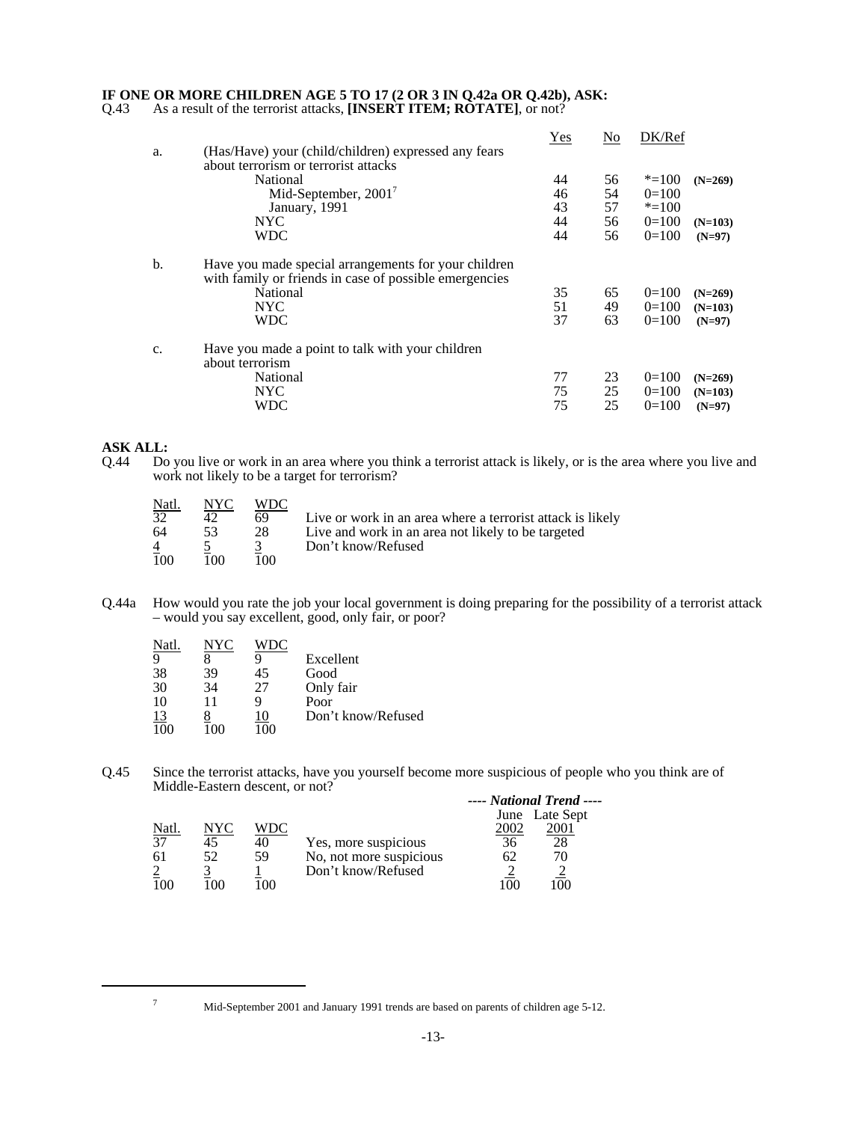## **IF ONE OR MORE CHILDREN AGE 5 TO 17 (2 OR 3 IN Q.42a OR Q.42b), ASK:**

Q.43 As a result of the terrorist attacks, **[INSERT ITEM; ROTATE]**, or not?

| N <sub>0</sub> |           |           |
|----------------|-----------|-----------|
|                |           |           |
| 56             | $* = 100$ | $(N=269)$ |
| 54             | $0=100$   |           |
| 57             | $* = 100$ |           |
| 56             | $0=100$   | $(N=103)$ |
| 56             | $0=100$   | $(N=97)$  |
|                |           |           |
| 65             | $0=100$   | $(N=269)$ |
| 49             | $0=100$   | $(N=103)$ |
| 63             | $0=100$   | $(N=97)$  |
|                |           |           |
| 23             | $0=100$   | $(N=269)$ |
| 25             | $0=100$   | $(N=103)$ |
| 25             | $0=100$   | $(N=97)$  |
|                |           | DK/Ref    |

# **ASK ALL:**<br>Q.44 Do

Do you live or work in an area where you think a terrorist attack is likely, or is the area where you live and work not likely to be a target for terrorism?

| <u>Natl.</u> | NYC. | WDC   |                                                            |
|--------------|------|-------|------------------------------------------------------------|
| 32           |      | 69    | Live or work in an area where a terrorist attack is likely |
| 64           | 53   | 28    | Live and work in an area not likely to be targeted         |
|              |      |       | Don't know/Refused                                         |
| 100          | 100  | 100 L |                                                            |

Q.44a How would you rate the job your local government is doing preparing for the possibility of a terrorist attack – would you say excellent, good, only fair, or poor?

| Natl.            | NYC |    |                    |
|------------------|-----|----|--------------------|
| 9                |     |    | Excellent          |
| 38               | 39  | 45 | Good               |
| 30               | 34  | 27 | Only fair          |
| 10               | 11  |    | Poor               |
| $\frac{13}{100}$ |     | 10 | Don't know/Refused |
|                  |     |    |                    |

Q.45 Since the terrorist attacks, have you yourself become more suspicious of people who you think are of Middle-Eastern descent, or not? *---- National Trend ----*

|       |     |     |                         |               | ---- Nanonai Trena --- |
|-------|-----|-----|-------------------------|---------------|------------------------|
|       |     |     |                         |               | June Late Sept         |
| Natl. | NYC | WDC |                         | 2002          |                        |
| 37    | 45  | 40  | Yes, more suspicious    | 36            |                        |
| 61    | 52  | 59  | No, not more suspicious | 62            | 70                     |
|       |     |     | Don't know/Refused      |               |                        |
| 100   |     |     |                         | <sup>0C</sup> |                        |

<sup>7</sup> Mid-September 2001 and January 1991 trends are based on parents of children age 5-12.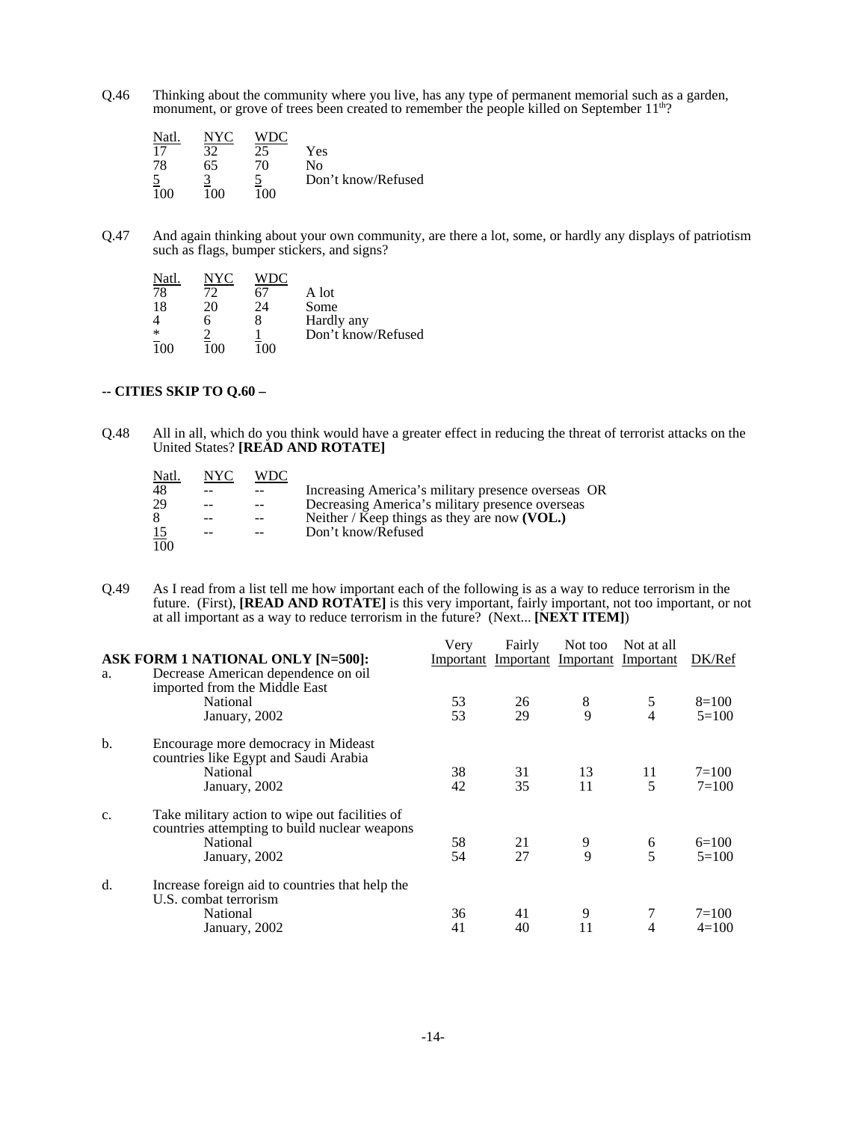Q.46 Thinking about the community where you live, has any type of permanent memorial such as a garden, monument, or grove of trees been created to remember the people killed on September 11<sup>th</sup>?

| Natl. | NYC | <b>WDC</b> |                    |
|-------|-----|------------|--------------------|
| 17    | 37  | 25         | Yes                |
| 78    | 65  | 70         | Nο                 |
|       |     |            | Don't know/Refused |
| 1 በበ  | 1ሰበ | 100        |                    |

Q.47 And again thinking about your own community, are there a lot, some, or hardly any displays of patriotism such as flags, bumper stickers, and signs?

| Natl |     |     |                    |
|------|-----|-----|--------------------|
| 78   | 72  | b l | A lot              |
| 18   | 20  | 24  | Some               |
|      | h   |     | Hardly any         |
| ∗    |     |     | Don't know/Refused |
| 100  | 100 | 100 |                    |

## **-- CITIES SKIP TO Q.60 –**

Q.48 All in all, which do you think would have a greater effect in reducing the threat of terrorist attacks on the United States? **[READ AND ROTATE]**

| Natl.            | NYC | WDC |                                                    |
|------------------|-----|-----|----------------------------------------------------|
| 48               |     |     | Increasing America's military presence overseas OR |
| 29               |     |     | Decreasing America's military presence overseas    |
| 8                |     |     | Neither / Keep things as they are now $(VOL.)$     |
| $\overline{15}$  | --  |     | Don't know/Refused                                 |
| $\overline{10}0$ |     |     |                                                    |

Q.49 As I read from a list tell me how important each of the following is as a way to reduce terrorism in the future. (First), **[READ AND ROTATE]** is this very important, fairly important, not too important, or not at all important as a way to reduce terrorism in the future? (Next... **[NEXT ITEM]**)

|    |                                                                                                             | Very | Fairly | Not too | Not at all                              |           |
|----|-------------------------------------------------------------------------------------------------------------|------|--------|---------|-----------------------------------------|-----------|
|    | ASK FORM 1 NATIONAL ONLY [N=500]:                                                                           |      |        |         | Important Important Important Important | DK/Ref    |
| a. | Decrease American dependence on oil<br>imported from the Middle East                                        |      |        |         |                                         |           |
|    | National                                                                                                    | 53   | 26     | 8       | 5                                       | $8=100$   |
|    | January, 2002                                                                                               | 53   | 29     | 9       | $\overline{4}$                          | $5=100$   |
| b. | Encourage more democracy in Mideast<br>countries like Egypt and Saudi Arabia                                |      |        |         |                                         |           |
|    | National                                                                                                    | 38   | 31     | 13      | 11                                      | $7 = 100$ |
|    | January, 2002                                                                                               | 42   | 35     | 11      | 5                                       | $7 = 100$ |
| c. | Take military action to wipe out facilities of<br>countries attempting to build nuclear weapons<br>National | 58   | 21     | 9       | 6                                       | $6=100$   |
|    | January, 2002                                                                                               | 54   | 27     | 9       | 5                                       | $5 = 100$ |
| d. | Increase foreign aid to countries that help the<br>U.S. combat terrorism                                    |      |        |         |                                         |           |
|    | National                                                                                                    | 36   | 41     | 9       |                                         | $7 = 100$ |
|    | January, 2002                                                                                               | 41   | 40     | 11      | 4                                       | $4=100$   |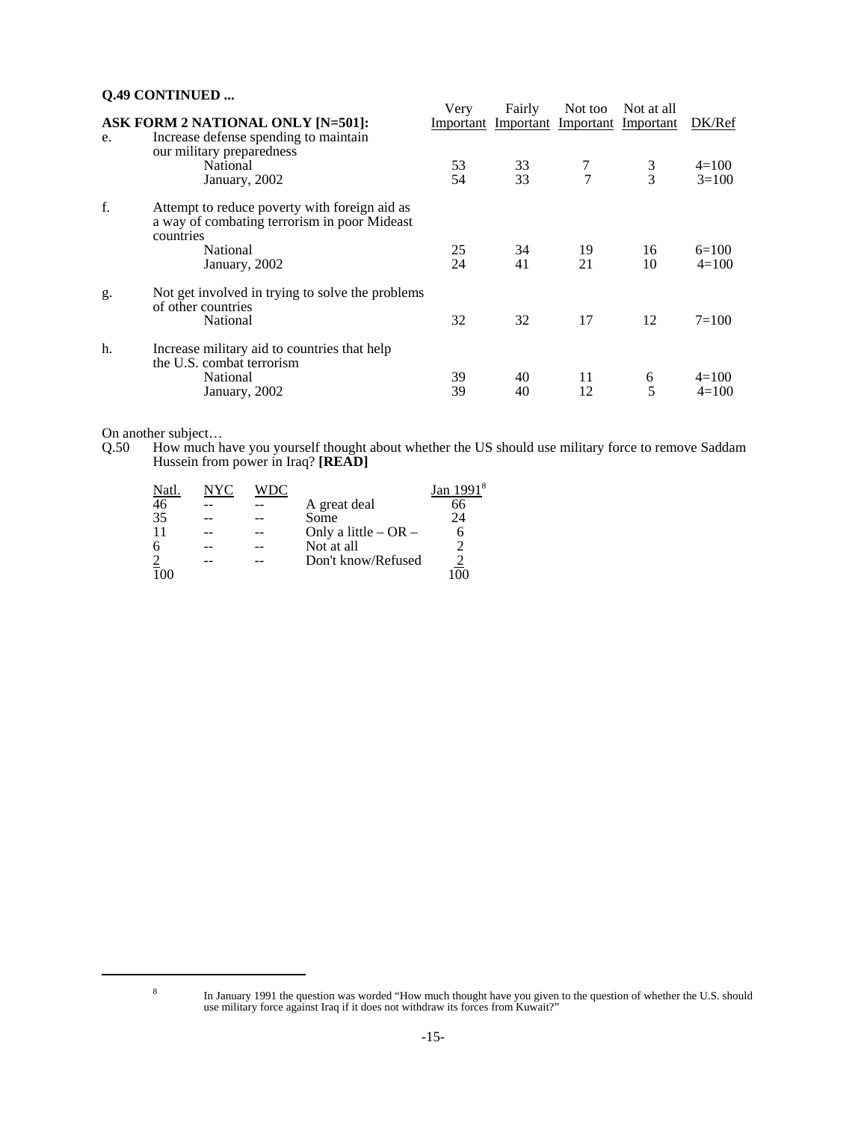## **Q.49 CONTINUED ...** Very Fairly Not too Not at all **ASK FORM 2 NATIONAL ONLY [N=501]:** Important Important Important Important DK/Ref e. Increase defense spending to maintain our military preparedness National 53 33 7 3 4=100 January, 2002 54 33 7 3 3=100 f. Attempt to reduce poverty with foreign aid as a way of combating terrorism in poor Mideast countries<br>National National 25 34 19 16 6=100 January, 2002 24 41 21 10 4=100 g. Not get involved in trying to solve the problems of other countries National 32 32 17 12 7=100 h. Increase military aid to countries that help the U.S. combat terrorism National 39 40 11 6 4=100 January, 2002 39 40 12 5 4=100

On another subject…

Q.50 How much have you yourself thought about whether the US should use military force to remove Saddam Hussein from power in Iraq? **[READ]**

| Natl.           | NYC |                          | Jan 1991 |
|-----------------|-----|--------------------------|----------|
| 46              |     | A great deal             | 66       |
| 35              |     | Some                     | 24       |
| 11              |     | Only a little $-$ OR $-$ |          |
| 6               |     | Not at all               |          |
| $\frac{2}{100}$ |     | Don't know/Refused       |          |
|                 |     |                          |          |

In January 1991 the question was worded "How much thought have you given to the question of whether the U.S. should use military force against Iraq if it does not withdraw its forces from Kuwait?"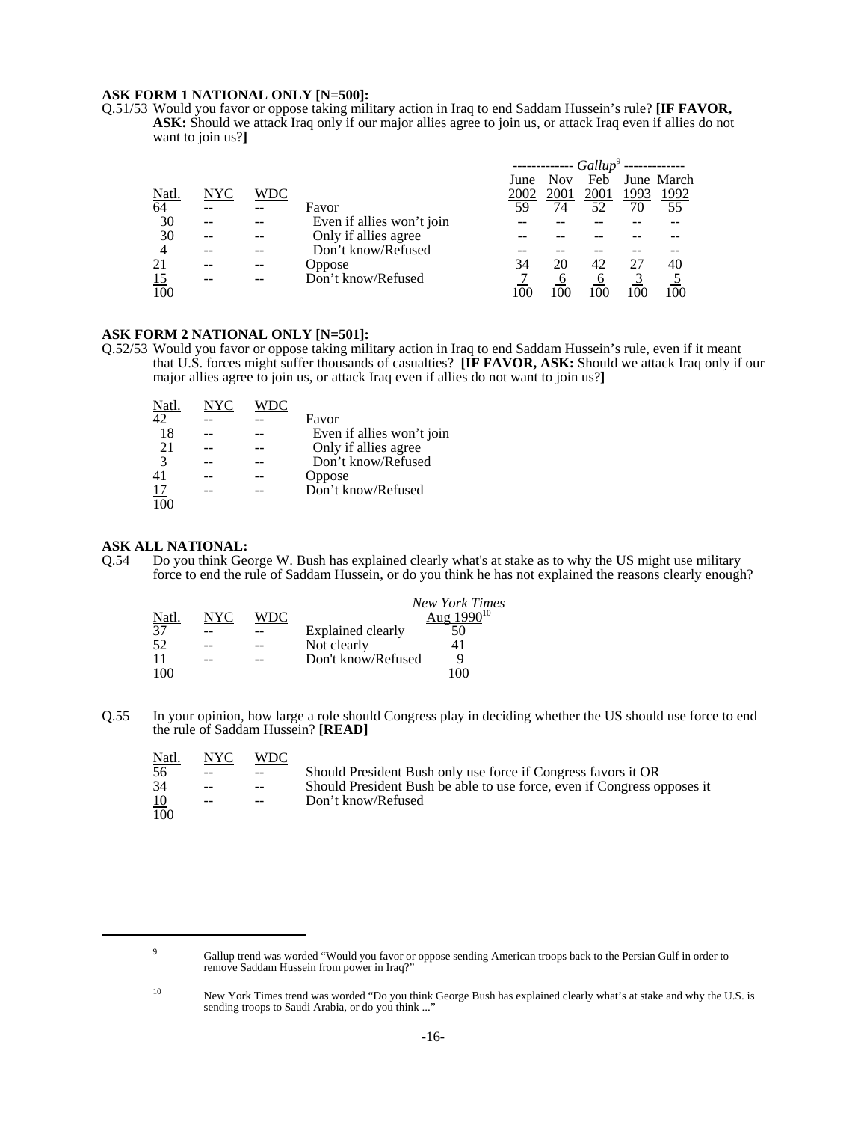### **ASK FORM 1 NATIONAL ONLY [N=500]:**

Q.51/53 Would you favor or oppose taking military action in Iraq to end Saddam Hussein's rule? **[IF FAVOR, ASK:** Should we attack Iraq only if our major allies agree to join us, or attack Iraq even if allies do not want to join us?**]**

|                |     |     |                           | ------------- Gallup <sup>9</sup> --- |            |      |      |            |
|----------------|-----|-----|---------------------------|---------------------------------------|------------|------|------|------------|
|                |     |     |                           | June                                  | <b>Nov</b> | Feb  |      | June March |
| Natl.          | NYC | WDC |                           | 2002                                  | 2001       | 2001 | 1993 | 1992       |
| 64             |     |     | Favor                     | 59                                    | 74         | 52   | 70   | 55         |
| 30             |     |     | Even if allies won't join |                                       |            |      |      |            |
| 30             |     |     | Only if allies agree      |                                       |            |      |      |            |
| $\overline{4}$ |     |     | Don't know/Refused        |                                       |            |      |      |            |
| 21             |     |     | Oppose                    | 34                                    | 20         | 42   |      | 40         |
| <u>15</u>      |     |     | Don't know/Refused        |                                       | b          | O    |      |            |
| 100            |     |     |                           |                                       |            | 100  |      |            |

## **ASK FORM 2 NATIONAL ONLY [N=501]:**

Q.52/53 Would you favor or oppose taking military action in Iraq to end Saddam Hussein's rule, even if it meant that U.S. forces might suffer thousands of casualties? **[IF FAVOR, ASK:** Should we attack Iraq only if our major allies agree to join us, or attack Iraq even if allies do not want to join us?**]**

| Natl.     | NYC |                           |
|-----------|-----|---------------------------|
| 42        |     | Favor                     |
| 18        |     | Even if allies won't join |
| 2.1       |     | Only if allies agree      |
| 3         |     | Don't know/Refused        |
|           |     | Oppose                    |
| <u>17</u> |     | Don't know/Refused        |
|           |     |                           |

**ASK ALL NATIONAL:**<br>Q.54 Do you think Geo Do you think George W. Bush has explained clearly what's at stake as to why the US might use military force to end the rule of Saddam Hussein, or do you think he has not explained the reasons clearly enough?

|           |     |      |                    | <b>New York Times</b> |
|-----------|-----|------|--------------------|-----------------------|
| Natl.     | NYC | WDC. |                    | Aug $1990^{10}$       |
| 37        |     |      | Explained clearly  | 50                    |
| 52        |     |      | Not clearly        |                       |
| <u>11</u> |     |      | Don't know/Refused |                       |
| 100       |     |      |                    |                       |

Q.55 In your opinion, how large a role should Congress play in deciding whether the US should use force to end the rule of Saddam Hussein? **[READ]**

| <u>Natl.</u> | NYC.  | WDC.  |                                                                         |
|--------------|-------|-------|-------------------------------------------------------------------------|
| 56           | $- -$ | $--$  | Should President Bush only use force if Congress favors it OR           |
| 34           | $- -$ | $-$   | Should President Bush be able to use force, even if Congress opposes it |
| 10           | $--$  | $- -$ | Don't know/Refused                                                      |
| 100          |       |       |                                                                         |

<sup>&</sup>lt;sup>9</sup> Gallup trend was worded "Would you favor or oppose sending American troops back to the Persian Gulf in order to remove Saddam Hussein from power in Iraq?"

<sup>10</sup> New York Times trend was worded "Do you think George Bush has explained clearly what's at stake and why the U.S. is sending troops to Saudi Arabia, or do you think ...'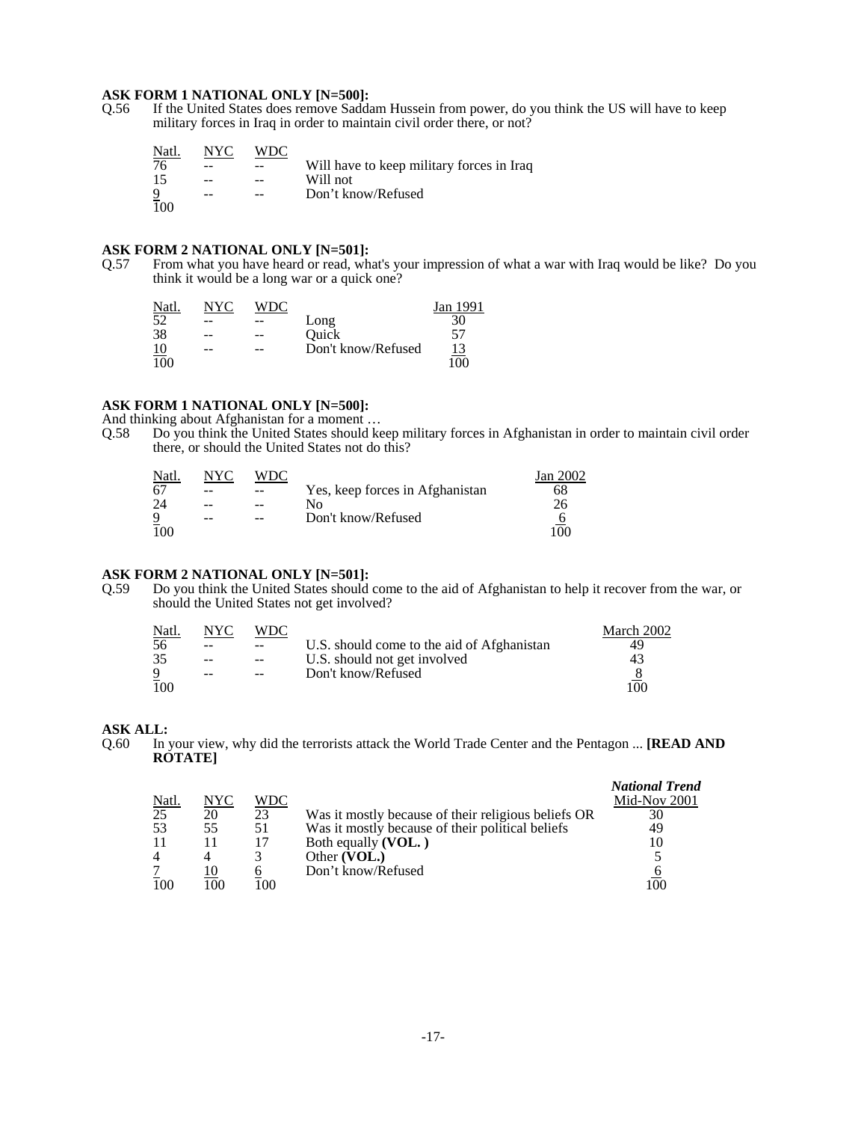# **ASK FORM 1 NATIONAL ONLY [N=500]:**<br>Q.56 If the United States does remove Sadda

If the United States does remove Saddam Hussein from power, do you think the US will have to keep military forces in Iraq in order to maintain civil order there, or not?

| Natl.          | NYC | WDC   |                                           |
|----------------|-----|-------|-------------------------------------------|
| 76             | --  |       | Will have to keep military forces in Iraq |
| 15             | --  |       | Will not                                  |
| $\overline{9}$ | --  | $- -$ | Don't know/Refused                        |
| 100            |     |       |                                           |

# **ASK FORM 2 NATIONAL ONLY [N=501]:** Q.57 From what you have heard or read, what

From what you have heard or read, what's your impression of what a war with Iraq would be like? Do you think it would be a long war or a quick one?

| Natl. | NYC | WDC |                    | Jan 1991 |
|-------|-----|-----|--------------------|----------|
| 52    | --  |     | Long               | 30       |
| 38    | --  | $-$ | Ouick              |          |
| 10    | --  | --  | Don't know/Refused |          |
| 100   |     |     |                    | 100      |

# **ASK FORM 1 NATIONAL ONLY [N=500]:**

And thinking about Afghanistan for a moment …

Q.58 Do you think the United States should keep military forces in Afghanistan in order to maintain civil order there, or should the United States not do this?

| Natl.          | NYC   | WDC   |                                 | Jan 2002 |
|----------------|-------|-------|---------------------------------|----------|
| 67             | --    | --    | Yes, keep forces in Afghanistan | 68       |
| 24             | --    | $- -$ | N٥                              |          |
| $\overline{9}$ | $- -$ | $- -$ | Don't know/Refused              |          |
| 100            |       |       |                                 | 100      |

# **ASK FORM 2 NATIONAL ONLY [N=501]:**<br>Q.59 Do you think the United States should

Do you think the United States should come to the aid of Afghanistan to help it recover from the war, or should the United States not get involved?

| Natl. | NYC.  | WDC.   |                                            | March 2002 |
|-------|-------|--------|--------------------------------------------|------------|
| 56    | $ -$  | $-$    | U.S. should come to the aid of Afghanistan | 49         |
| 35    | $-$   | $\sim$ | U.S. should not get involved               | 43         |
|       | $- -$ | $- -$  | Don't know/Refused                         |            |
| 100   |       |        |                                            | 100        |

### **ASK ALL:**

Q.60 In your view, why did the terrorists attack the World Trade Center and the Pentagon ... **[READ AND ROTATE]**

| Natl.           | NYC | WDC |                                                     | <b>National Trend</b><br>Mid-Nov 2001 |
|-----------------|-----|-----|-----------------------------------------------------|---------------------------------------|
| $\overline{25}$ | 20  | 23  | Was it mostly because of their religious beliefs OR | 30                                    |
| 53              | 55  | 51  | Was it mostly because of their political beliefs    | 49                                    |
| 11              |     |     | Both equally (VOL.)                                 | 10                                    |
| $\overline{4}$  |     |     | Other (VOL.)                                        |                                       |
|                 |     |     | Don't know/Refused                                  |                                       |
| 100             | 100 | 100 |                                                     | -00                                   |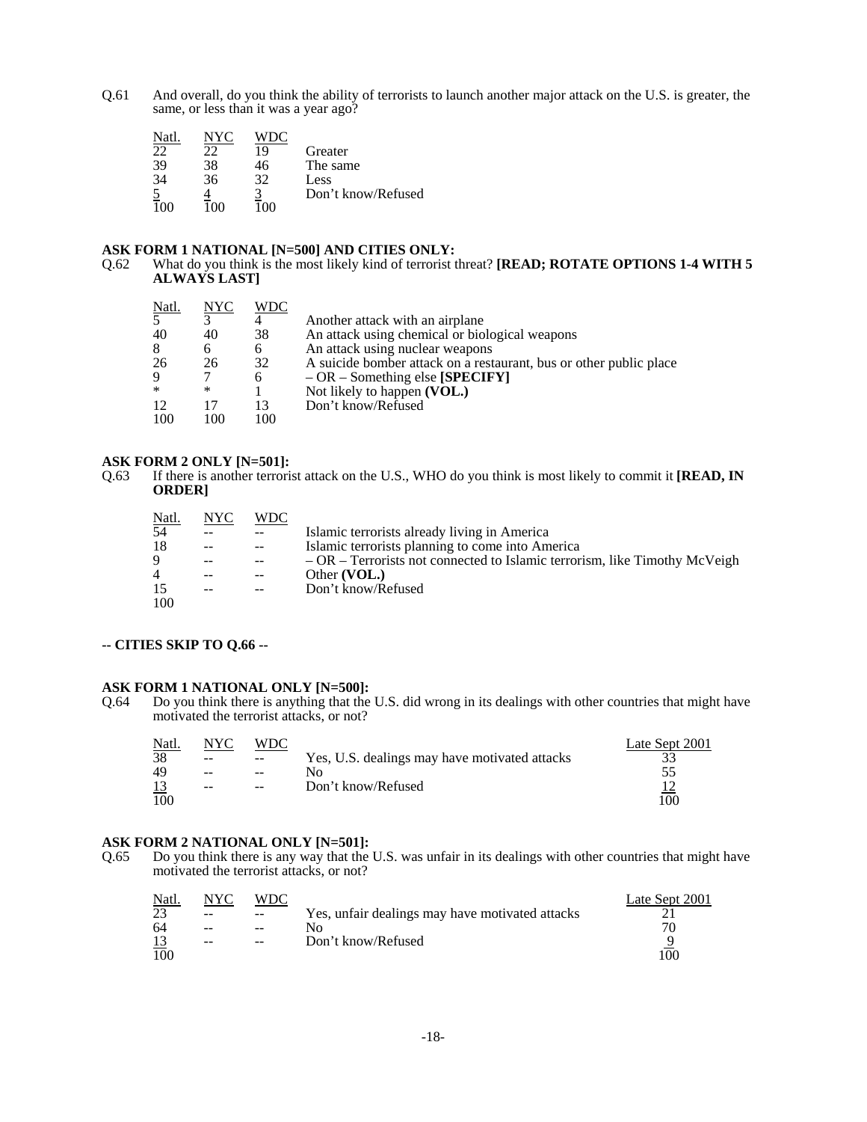Q.61 And overall, do you think the ability of terrorists to launch another major attack on the U.S. is greater, the same, or less than it was a year ago?

| Natl |    |    |                    |
|------|----|----|--------------------|
| つつ   |    | 19 | Greater            |
| 39   | 38 | 46 | The same           |
| 34   | 36 | 32 | Less               |
|      |    |    | Don't know/Refused |
|      |    |    |                    |

# **ASK FORM 1 NATIONAL [N=500] AND CITIES ONLY:**<br>Q.62 What do you think is the most likely kind of terrorist t

What do you think is the most likely kind of terrorist threat? [READ; ROTATE OPTIONS 1-4 WITH 5 **ALWAYS LAST]**

| <u>Natl.</u>   | N <sub>YC</sub> | WDC |                                                                    |
|----------------|-----------------|-----|--------------------------------------------------------------------|
| $\overline{5}$ |                 |     | Another attack with an airplane                                    |
| 40             | 40              | 38  | An attack using chemical or biological weapons                     |
| 8              | 6               | 6   | An attack using nuclear weapons                                    |
| 26             | 26              | 32  | A suicide bomber attack on a restaurant, bus or other public place |
| 9              |                 | 6   | $-OR$ – Something else [SPECIFY]                                   |
| $\ast$         | ∗               |     | Not likely to happen (VOL.)                                        |
| 12             |                 | 13  | Don't know/Refused                                                 |
| 100            | 100             | 100 |                                                                    |

**ASK FORM 2 ONLY [N=501]:**<br>Q.63 If there is another terroris If there is another terrorist attack on the U.S., WHO do you think is most likely to commit it **[READ, IN ORDER]**

| Natl. | NYC | <b>WDC</b> |                                                                             |
|-------|-----|------------|-----------------------------------------------------------------------------|
| 54    |     |            | Islamic terrorists already living in America                                |
| 18    | $-$ |            | Islamic terrorists planning to come into America                            |
| 9     | $-$ |            | $-OR$ – Terrorists not connected to Islamic terrorism, like Timothy McVeigh |
| 4     |     |            | Other (VOL.)                                                                |
| 15    |     |            | Don't know/Refused                                                          |
| 100   |     |            |                                                                             |

### **-- CITIES SKIP TO Q.66 --**

**ASK FORM 1 NATIONAL ONLY [N=500]:**<br>Q.64 Do you think there is anything that the Do you think there is anything that the U.S. did wrong in its dealings with other countries that might have motivated the terrorist attacks, or not?

| Natl. | NYC | <b>WDC</b> |                                               | Late Sept 2001 |
|-------|-----|------------|-----------------------------------------------|----------------|
| 38    | $-$ | $- -$      | Yes, U.S. dealings may have motivated attacks |                |
| 49    | $-$ | $- -$      |                                               |                |
|       | $-$ | $- -$      | Don't know/Refused                            |                |
| 100   |     |            |                                               | 100            |

**ASK FORM 2 NATIONAL ONLY [N=501]:**<br>Q.65 Do you think there is any way that the Do you think there is any way that the U.S. was unfair in its dealings with other countries that might have motivated the terrorist attacks, or not?

| Natl. | NYC | WDC   |                                                 | Late Sept 2001 |
|-------|-----|-------|-------------------------------------------------|----------------|
| 23    | $-$ | $- -$ | Yes, unfair dealings may have motivated attacks |                |
| 64    | $-$ |       | No.                                             |                |
|       | $-$ | $- -$ | Don't know/Refused                              |                |
| 100   |     |       |                                                 | 100            |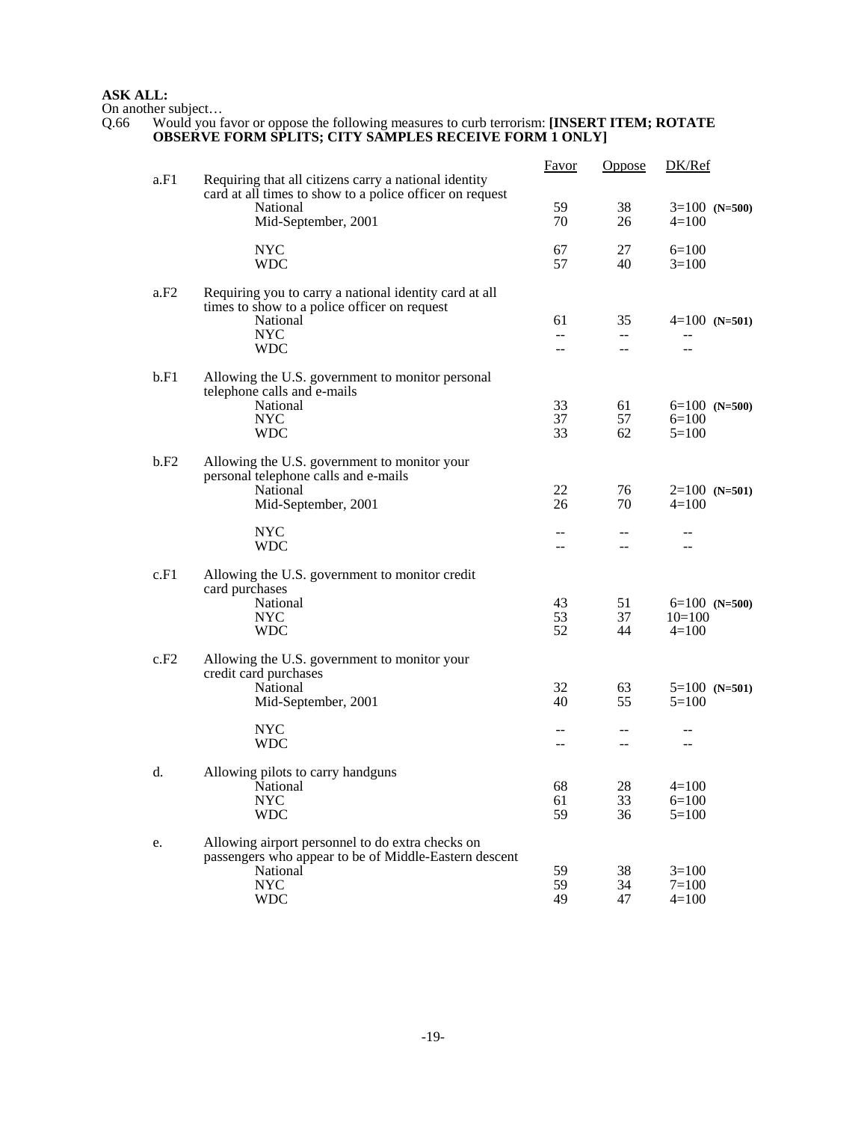#### **ASK ALL:**

On another subject…

### Q.66 Would you favor or oppose the following measures to curb terrorism: **[INSERT ITEM; ROTATE OBSERVE FORM SPLITS; CITY SAMPLES RECEIVE FORM 1 ONLY]**

|      |                                                                                                                                                      | <u>Favor</u>    | <b>Oppose</b>                           | DK/Ref                                 |
|------|------------------------------------------------------------------------------------------------------------------------------------------------------|-----------------|-----------------------------------------|----------------------------------------|
| a.F1 | Requiring that all citizens carry a national identity<br>card at all times to show to a police officer on request<br>National<br>Mid-September, 2001 | 59<br>70        | 38<br>26                                | $3=100$ (N=500)<br>$4=100$             |
|      | <b>NYC</b><br><b>WDC</b>                                                                                                                             | 67<br>57        | 27<br>40                                | $6=100$<br>$3=100$                     |
| a.F2 | Requiring you to carry a national identity card at all<br>times to show to a police officer on request<br>National<br><b>NYC</b><br><b>WDC</b>       | 61<br>--<br>$-$ | 35<br>$- -$<br>$\overline{\phantom{a}}$ | $4=100$ (N=501)<br>$-$                 |
| b.F1 | Allowing the U.S. government to monitor personal<br>telephone calls and e-mails<br>National<br><b>NYC</b><br><b>WDC</b>                              | 33<br>37<br>33  | 61<br>57<br>62                          | $6=100$ (N=500)<br>$6=100$<br>$5=100$  |
| b.F2 | Allowing the U.S. government to monitor your<br>personal telephone calls and e-mails<br>National<br>Mid-September, 2001                              | 22<br>26        | 76<br>70                                | $2=100$ (N=501)<br>$4=100$             |
|      | <b>NYC</b><br><b>WDC</b>                                                                                                                             | --<br>$-$       | --<br>$-$                               | --<br>--                               |
| c.F1 | Allowing the U.S. government to monitor credit<br>card purchases<br>National<br><b>NYC</b><br><b>WDC</b>                                             | 43<br>53<br>52  | 51<br>37<br>44                          | $6=100$ (N=500)<br>$10=100$<br>$4=100$ |
| c.F2 | Allowing the U.S. government to monitor your<br>credit card purchases<br>National<br>Mid-September, 2001<br><b>NYC</b>                               | 32<br>40        | 63<br>55                                | $5=100$ (N=501)<br>$5=100$             |
|      | <b>WDC</b>                                                                                                                                           | --              | $\sim$ $\sim$                           | $-$                                    |
| d.   | Allowing pilots to carry handguns<br>National<br><b>NYC</b><br><b>WDC</b>                                                                            | 68<br>61<br>59  | 28<br>33<br>36                          | $4=100$<br>$6=100$<br>$5 = 100$        |
| e.   | Allowing airport personnel to do extra checks on<br>passengers who appear to be of Middle-Eastern descent<br>National<br><b>NYC</b><br><b>WDC</b>    | 59<br>59<br>49  | 38<br>34<br>47                          | $3=100$<br>$7=100$<br>$4=100$          |